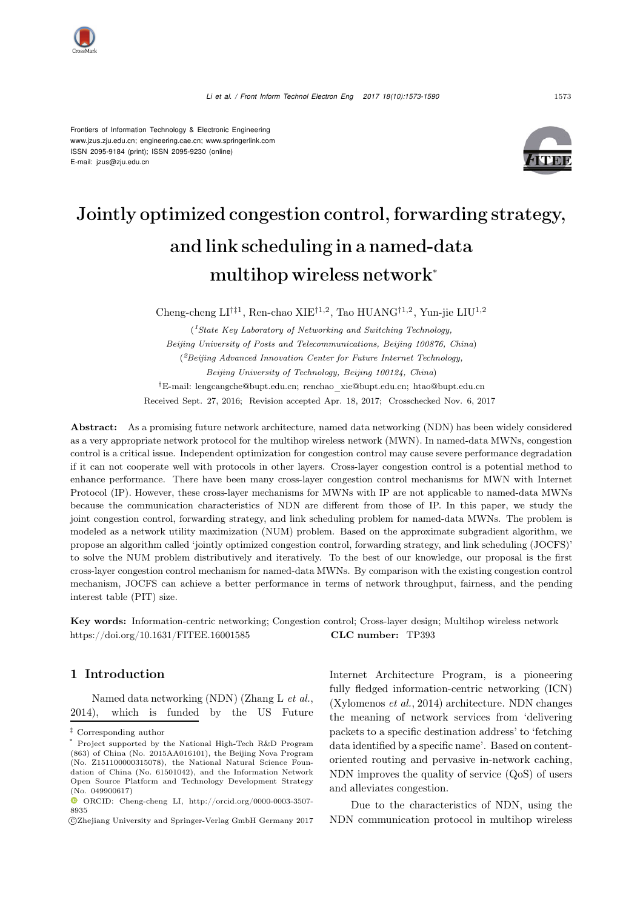

Frontiers of Information Technology & Electronic Engineering www.jzus.zju.edu.cn; engineering.cae.cn; www.springerlink.com ISSN 2095-9184 (print); ISSN 2095-9230 (online) E-mail: jzus@zju.edu.cn



# Jointly optimized congestion control, forwarding strategy, and link scheduling in a named-data multihop wireless network<sup>∗</sup>

Cheng-cheng  $\mathrm{LI}^{\dagger\ddagger 1},$  Ren-chao XIE $^{\dagger 1, 2},$  Tao HUANG $^{\dagger 1, 2},$  Yun-jie  $\mathrm{LI} \mathrm{U}^{1, 2}$ 

(*1State Key Laboratory of Networking and Switching Technology, Beijing University of Posts and Telecommunications, Beijing 100876, China*) (*2Beijing Advanced Innovation Center for Future Internet Technology, Beijing University of Technology, Beijing 100124, China*) †E-mail: lengcangche@bupt.edu.cn; renchao\_xie@bupt.edu.cn; htao@bupt.edu.cn Received Sept. 27, 2016; Revision accepted Apr. 18, 2017; Crosschecked Nov. 6, 2017

Abstract: As a promising future network architecture, named data networking (NDN) has been widely considered as a very appropriate network protocol for the multihop wireless network (MWN). In named-data MWNs, congestion control is a critical issue. Independent optimization for congestion control may cause severe performance degradation if it can not cooperate well with protocols in other layers. Cross-layer congestion control is a potential method to enhance performance. There have been many cross-layer congestion control mechanisms for MWN with Internet Protocol (IP). However, these cross-layer mechanisms for MWNs with IP are not applicable to named-data MWNs because the communication characteristics of NDN are different from those of IP. In this paper, we study the joint congestion control, forwarding strategy, and link scheduling problem for named-data MWNs. The problem is modeled as a network utility maximization (NUM) problem. Based on the approximate subgradient algorithm, we propose an algorithm called 'jointly optimized congestion control, forwarding strategy, and link scheduling (JOCFS)' to solve the NUM problem distributively and iteratively. To the best of our knowledge, our proposal is the first cross-layer congestion control mechanism for named-data MWNs. By comparison with the existing congestion control mechanism, JOCFS can achieve a better performance in terms of network throughput, fairness, and the pending interest table (PIT) size.

Key words: Information-centric networking; Congestion control; Cross-layer design; Multihop wireless network https://doi.org/10.1631/FITEE.16001585 CLC number: TP393

## 1 Introduction

Named data networking (NDN) [\(Zhang L](#page-14-0) *et al.*, [2014\)](#page-14-0), which is funded by the US Future Internet Architecture Program, is a pioneering fully fledged information-centric networking (ICN) [\(Xylomenos](#page-14-1) *et al.*, [2014\)](#page-14-1) architecture. NDN changes the meaning of network services from 'delivering packets to a specific destination address' to 'fetching data identified by a specific name'. Based on contentoriented routing and pervasive in-network caching, NDN improves the quality of service (QoS) of users and alleviates congestion.

Due to the characteristics of NDN, using the NDN communication protocol in multihop wireless

<sup>‡</sup> Corresponding author

<sup>\*</sup> Project supported by the National High-Tech R&D Program (863) of China (No. 2015AA016101), the Beijing Nova Program (No. Z151100000315078), the National Natural Science Foundation of China (No. 61501042), and the Information Network Open Source Platform and Technology Development Strategy (No. 049900617)

ORCID: Cheng-cheng LI, http://orcid.org/0000-0003-3507- 8935

c Zhejiang University and Springer-Verlag GmbH Germany 2017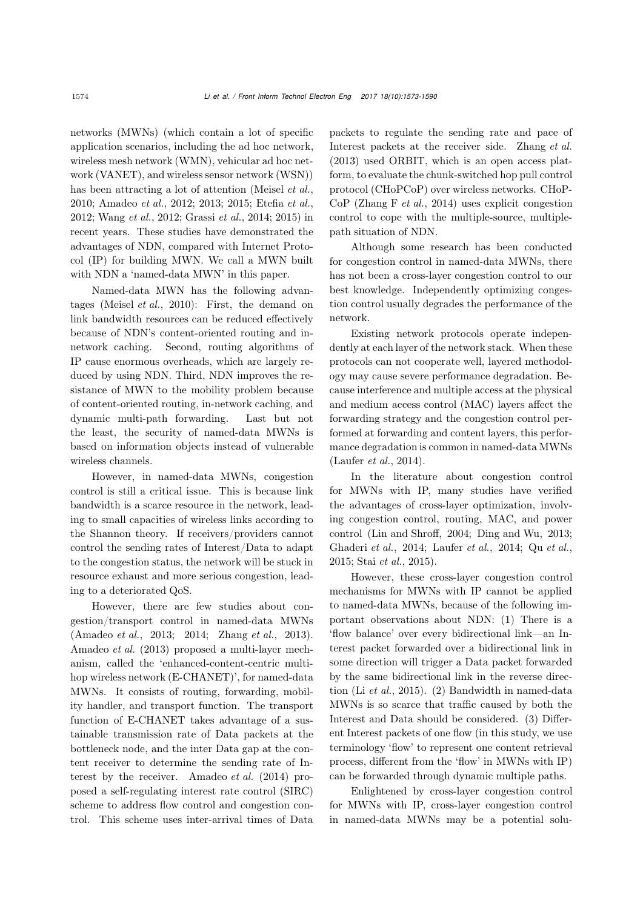networks (MWNs) (which contain a lot of specific application scenarios, including the ad hoc network, wireless mesh network (WMN), vehicular ad hoc network (VANET), and wireless sensor network (WSN)) has been attracting a lot of attention [\(Meisel](#page-13-0) *et al.*, [2010](#page-13-0); [Amadeo](#page-13-1) *et al.*, [2012;](#page-13-1) [2013;](#page-13-2) [2015;](#page-13-3) [Etefia](#page-13-4) *et al.*, [2012](#page-13-4); [Wang](#page-14-2) *et al.*, [2012;](#page-14-2) [Grassi](#page-13-5) *et al.*, [2014;](#page-13-5) [2015](#page-13-6)) in recent years. These studies have demonstrated the advantages of NDN, compared with Internet Protocol (IP) for building MWN. We call a MWN built with NDN a 'named-data MWN' in this paper.

Named-data MWN has the following advantages [\(Meisel](#page-13-0) *et al.*, [2010\)](#page-13-0): First, the demand on link bandwidth resources can be reduced effectively because of NDN's content-oriented routing and innetwork caching. Second, routing algorithms of IP cause enormous overheads, which are largely reduced by using NDN. Third, NDN improves the resistance of MWN to the mobility problem because of content-oriented routing, in-network caching, and dynamic multi-path forwarding. Last but not the least, the security of named-data MWNs is based on information objects instead of vulnerable wireless channels.

However, in named-data MWNs, congestion control is still a critical issue. This is because link bandwidth is a scarce resource in the network, leading to small capacities of wireless links according to the Shannon theory. If receivers/providers cannot control the sending rates of Interest/Data to adapt to the congestion status, the network will be stuck in resource exhaust and more serious congestion, leading to a deteriorated QoS.

However, there are few studies about congestion/transport control in named-data MWNs [\(Amadeo](#page-13-2) *et al.*, [2013](#page-13-2); [2014;](#page-13-7) [Zhang](#page-14-3) *et al.*, [2013\)](#page-14-3). [Amadeo](#page-13-2) *et al.* [\(2013](#page-13-2)) proposed a multi-layer mechanism, called the 'enhanced-content-centric multihop wireless network (E-CHANET)', for named-data MWNs. It consists of routing, forwarding, mobility handler, and transport function. The transport function of E-CHANET takes advantage of a sustainable transmission rate of Data packets at the bottleneck node, and the inter Data gap at the content receiver to determine the sending rate of Interest by the receiver. [Amadeo](#page-13-7) *et al.* [\(2014\)](#page-13-7) proposed a self-regulating interest rate control (SIRC) scheme to address flow control and congestion control. This scheme uses inter-arrival times of Data

packets to regulate the sending rate and pace of Interest packets at the receiver side. [Zhang](#page-14-3) *et al.* [\(2013\)](#page-14-3) used ORBIT, which is an open access platform, to evaluate the chunk-switched hop pull control protocol (CHoPCoP) over wireless networks. CHoP-CoP [\(Zhang F](#page-14-4) *et al.*, [2014\)](#page-14-4) uses explicit congestion control to cope with the multiple-source, multiplepath situation of NDN.

Although some research has been conducted for congestion control in named-data MWNs, there has not been a cross-layer congestion control to our best knowledge. Independently optimizing congestion control usually degrades the performance of the network.

Existing network protocols operate independently at each layer of the network stack. When these protocols can not cooperate well, layered methodology may cause severe performance degradation. Because interference and multiple access at the physical and medium access control (MAC) layers affect the forwarding strategy and the congestion control performed at forwarding and content layers, this performance degradation is common in named-data MWNs [\(Laufer](#page-13-8) *et al.*, [2014\)](#page-13-8).

In the literature about congestion control for MWNs with IP, many studies have verified the advantages of cross-layer optimization, involving congestion control, routing, MAC, and power control [\(Lin and Shroff](#page-13-9), [2004](#page-13-9); [Ding and Wu, 2013;](#page-13-10) [Ghaderi](#page-13-11) *et al.*, [2014;](#page-13-11) [Laufer](#page-13-8) *et al.*, [2014;](#page-13-8) Qu *[et al.](#page-13-12)*, [2015](#page-13-12); Stai *[et al.](#page-14-5)*, [2015](#page-14-5)).

However, these cross-layer congestion control mechanisms for MWNs with IP cannot be applied to named-data MWNs, because of the following important observations about NDN: (1) There is a 'flow balance' over every bidirectional link—an Interest packet forwarded over a bidirectional link in some direction will trigger a Data packet forwarded by the same bidirectional link in the reverse direction (Li *[et al.](#page-13-13)*, [2015\)](#page-13-13). (2) Bandwidth in named-data MWNs is so scarce that traffic caused by both the Interest and Data should be considered. (3) Different Interest packets of one flow (in this study, we use terminology 'flow' to represent one content retrieval process, different from the 'flow' in MWNs with IP) can be forwarded through dynamic multiple paths.

Enlightened by cross-layer congestion control for MWNs with IP, cross-layer congestion control in named-data MWNs may be a potential solu-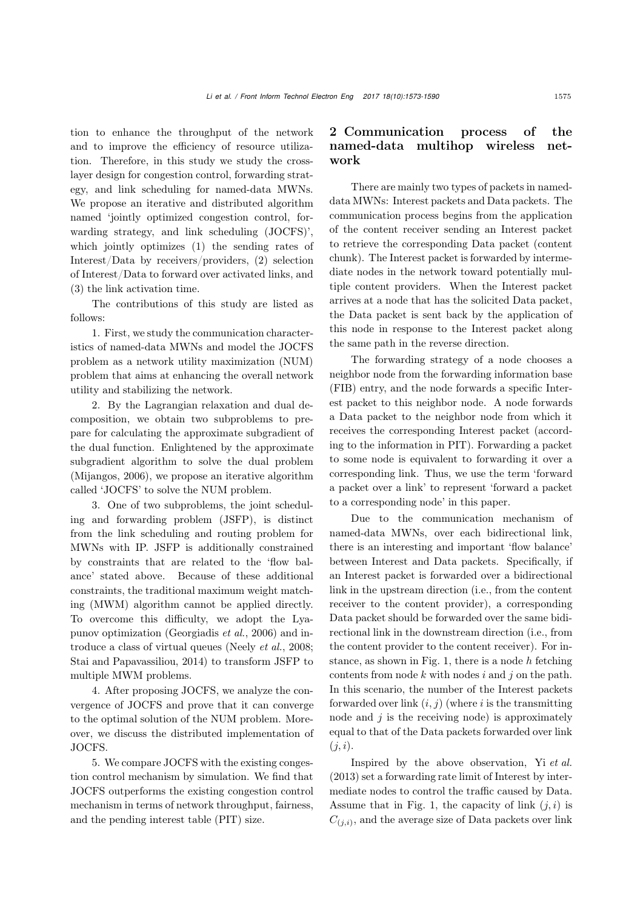tion to enhance the throughput of the network and to improve the efficiency of resource utilization. Therefore, in this study we study the crosslayer design for congestion control, forwarding strategy, and link scheduling for named-data MWNs. We propose an iterative and distributed algorithm named 'jointly optimized congestion control, forwarding strategy, and link scheduling (JOCFS)', which jointly optimizes (1) the sending rates of Interest/Data by receivers/providers, (2) selection of Interest/Data to forward over activated links, and (3) the link activation time.

The contributions of this study are listed as follows:

1. First, we study the communication characteristics of named-data MWNs and model the JOCFS problem as a network utility maximization (NUM) problem that aims at enhancing the overall network utility and stabilizing the network.

2. By the Lagrangian relaxation and dual decomposition, we obtain two subproblems to prepare for calculating the approximate subgradient of the dual function. Enlightened by the approximate subgradient algorithm to solve the dual problem [\(Mijangos](#page-13-14), [2006\)](#page-13-14), we propose an iterative algorithm called 'JOCFS' to solve the NUM problem.

3. One of two subproblems, the joint scheduling and forwarding problem (JSFP), is distinct from the link scheduling and routing problem for MWNs with IP. JSFP is additionally constrained by constraints that are related to the 'flow balance' stated above. Because of these additional constraints, the traditional maximum weight matching (MWM) algorithm cannot be applied directly. To overcome this difficulty, we adopt the Lyapunov optimization [\(Georgiadis](#page-13-15) *et al.*, [2006\)](#page-13-15) and introduce a class of virtual queues [\(Neely](#page-13-16) *et al.*, [2008;](#page-13-16) [Stai and Papavassiliou, 2014\)](#page-14-6) to transform JSFP to multiple MWM problems.

4. After proposing JOCFS, we analyze the convergence of JOCFS and prove that it can converge to the optimal solution of the NUM problem. Moreover, we discuss the distributed implementation of JOCFS.

5. We compare JOCFS with the existing congestion control mechanism by simulation. We find that JOCFS outperforms the existing congestion control mechanism in terms of network throughput, fairness, and the pending interest table (PIT) size.

# <span id="page-2-0"></span>2 Communication process of the named-data multihop wireless network

There are mainly two types of packets in nameddata MWNs: Interest packets and Data packets. The communication process begins from the application of the content receiver sending an Interest packet to retrieve the corresponding Data packet (content chunk). The Interest packet is forwarded by intermediate nodes in the network toward potentially multiple content providers. When the Interest packet arrives at a node that has the solicited Data packet, the Data packet is sent back by the application of this node in response to the Interest packet along the same path in the reverse direction.

The forwarding strategy of a node chooses a neighbor node from the forwarding information base (FIB) entry, and the node forwards a specific Interest packet to this neighbor node. A node forwards a Data packet to the neighbor node from which it receives the corresponding Interest packet (according to the information in PIT). Forwarding a packet to some node is equivalent to forwarding it over a corresponding link. Thus, we use the term 'forward a packet over a link' to represent 'forward a packet to a corresponding node' in this paper.

Due to the communication mechanism of named-data MWNs, over each bidirectional link, there is an interesting and important 'flow balance' between Interest and Data packets. Specifically, if an Interest packet is forwarded over a bidirectional link in the upstream direction (i.e., from the content receiver to the content provider), a corresponding Data packet should be forwarded over the same bidirectional link in the downstream direction (i.e., from the content provider to the content receiver). For in-stance, as shown in Fig. [1,](#page-3-0) there is a node  $h$  fetching contents from node  $k$  with nodes  $i$  and  $j$  on the path. In this scenario, the number of the Interest packets forwarded over link  $(i, j)$  (where i is the transmitting node and  $i$  is the receiving node) is approximately equal to that of the Data packets forwarded over link  $(j, i).$ 

Inspired by the above observation, Yi *[et al.](#page-14-7)* [\(2013\)](#page-14-7) set a forwarding rate limit of Interest by intermediate nodes to control the traffic caused by Data. Assume that in Fig. [1,](#page-3-0) the capacity of link  $(i, i)$  is  $C_{(i,i)}$ , and the average size of Data packets over link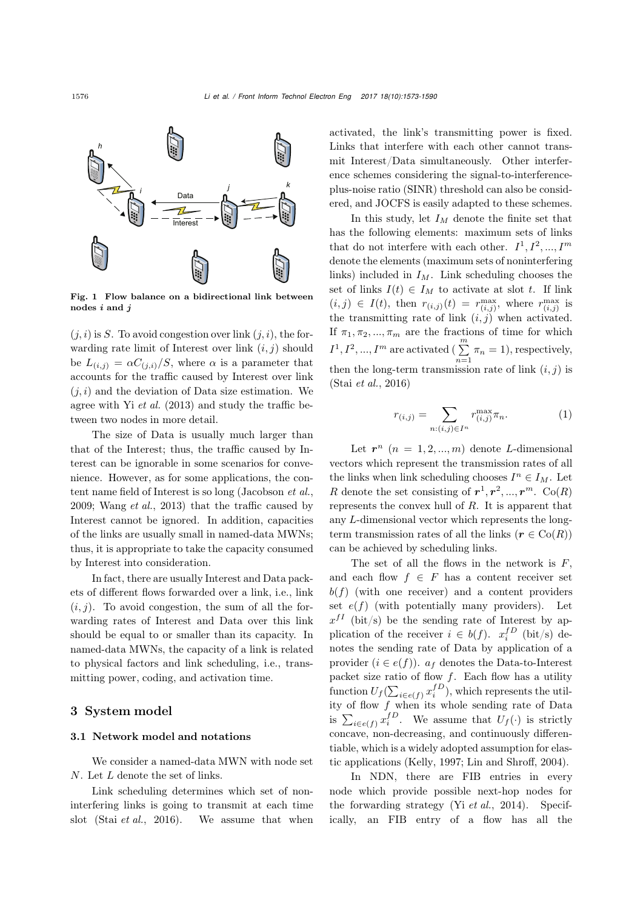

<span id="page-3-0"></span>Fig. 1 Flow balance on a bidirectional link between nodes *i* and *j*

 $(j, i)$  is S. To avoid congestion over link  $(j, i)$ , the forwarding rate limit of Interest over link  $(i, j)$  should be  $L_{(i,j)} = \alpha C_{(j,i)}/S$ , where  $\alpha$  is a parameter that accounts for the traffic caused by Interest over link  $(i, i)$  and the deviation of Data size estimation. We agree with Yi *[et al.](#page-14-7)* [\(2013](#page-14-7)) and study the traffic between two nodes in more detail.

The size of Data is usually much larger than that of the Interest; thus, the traffic caused by Interest can be ignorable in some scenarios for convenience. However, as for some applications, the content name field of Interest is so long [\(Jacobson](#page-13-17) *et al.*, [2009](#page-13-17); [Wang](#page-14-8) *et al.*, [2013\)](#page-14-8) that the traffic caused by Interest cannot be ignored. In addition, capacities of the links are usually small in named-data MWNs; thus, it is appropriate to take the capacity consumed by Interest into consideration.

In fact, there are usually Interest and Data packets of different flows forwarded over a link, i.e., link  $(i, j)$ . To avoid congestion, the sum of all the forwarding rates of Interest and Data over this link should be equal to or smaller than its capacity. In named-data MWNs, the capacity of a link is related to physical factors and link scheduling, i.e., transmitting power, coding, and activation time.

## 3 System model

#### 3.1 Network model and notations

We consider a named-data MWN with node set N. Let L denote the set of links.

Link scheduling determines which set of noninterfering links is going to transmit at each time slot (Stai *[et al.](#page-14-9)*, [2016\)](#page-14-9). We assume that when activated, the link's transmitting power is fixed. Links that interfere with each other cannot transmit Interest/Data simultaneously. Other interference schemes considering the signal-to-interferenceplus-noise ratio (SINR) threshold can also be considered, and JOCFS is easily adapted to these schemes.

In this study, let  $I_M$  denote the finite set that has the following elements: maximum sets of links that do not interfere with each other.  $I^1, I^2, ..., I^m$ denote the elements (maximum sets of noninterfering links) included in  $I_M$ . Link scheduling chooses the set of links  $I(t) \in I_M$  to activate at slot t. If link  $(i, j) \in I(t)$ , then  $r_{(i,j)}(t) = r_{(i,j)}^{\text{max}}$ , where  $r_{(i,j)}^{\text{max}}$  is the transmitting rate of link  $(i, j)$  when activated. If  $\pi_1, \pi_2, ..., \pi_m$  are the fractions of time for which  $I^1, I^2, ..., I^m$  are activated ( $\sum^m$  $\sum_{n=1}^{n} \pi_n = 1$ , respectively, then the long-term transmission rate of link  $(i, j)$  is (Stai *[et al.](#page-14-9)*, [2016\)](#page-14-9)

$$
r_{(i,j)} = \sum_{n:(i,j)\in I^n} r_{(i,j)}^{\max} \pi_n.
$$
 (1)

Let  $r^n$   $(n = 1, 2, ..., m)$  denote L-dimensional vectors which represent the transmission rates of all the links when link scheduling chooses  $I^n \in I_M$ . Let R denote the set consisting of  $r^1, r^2, ..., r^m$ . Co(R) represents the convex hull of R. It is apparent that any L-dimensional vector which represents the longterm transmission rates of all the links  $(r \in \text{Co}(R))$ can be achieved by scheduling links.

The set of all the flows in the network is  $F$ , and each flow  $f \in F$  has a content receiver set  $b(f)$  (with one receiver) and a content providers set  $e(f)$  (with potentially many providers). Let  $x^{fI}$  (bit/s) be the sending rate of Interest by application of the receiver  $i \in b(f)$ .  $x_i^{fD}$  (bit/s) denotes the sending rate of Data by application of a provider  $(i \in e(f))$ .  $a_f$  denotes the Data-to-Interest packet size ratio of flow  $f$ . Each flow has a utility function  $U_f(\sum_{i \in e(f)} x_i^{fD}),$  which represents the utility of flow  $f$  when its whole sending rate of Data is  $\sum_{i \in e(f)} x_i^{fD}$ . We assume that  $U_f(\cdot)$  is strictly concave, non-decreasing, and continuously differentiable, which is a widely adopted assumption for elastic applications [\(Kelly](#page-13-18), [1997;](#page-13-18) [Lin and Shroff, 2004\)](#page-13-9).

In NDN, there are FIB entries in every node which provide possible next-hop nodes for the forwarding strategy (Yi *[et al.](#page-14-10)*, [2014](#page-14-10)). Specifically, an FIB entry of a flow has all the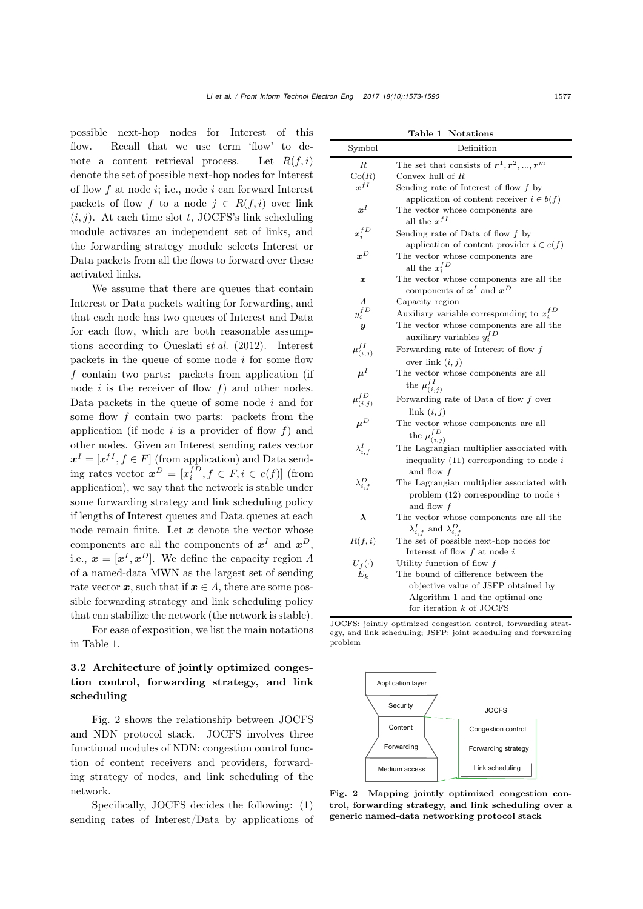possible next-hop nodes for Interest of this flow. Recall that we use term 'flow' to denote a content retrieval process. Let  $R(f, i)$ denote the set of possible next-hop nodes for Interest of flow  $f$  at node  $i$ ; i.e., node  $i$  can forward Interest packets of flow f to a node  $j \in R(f, i)$  over link  $(i, j)$ . At each time slot t, JOCFS's link scheduling module activates an independent set of links, and the forwarding strategy module selects Interest or Data packets from all the flows to forward over these activated links.

We assume that there are queues that contain Interest or Data packets waiting for forwarding, and that each node has two queues of Interest and Data for each flow, which are both reasonable assumptions according to [Oueslati](#page-13-19) *et al.* [\(2012\)](#page-13-19). Interest packets in the queue of some node  $i$  for some flow f contain two parts: packets from application (if node i is the receiver of flow  $f$ ) and other nodes. Data packets in the queue of some node  $i$  and for some flow  $f$  contain two parts: packets from the application (if node  $i$  is a provider of flow  $f$ ) and other nodes. Given an Interest sending rates vector  $x^I = [x^{fI}, f \in F]$  (from application) and Data sending rates vector  $\boldsymbol{x}^D = [x_i^f, f \in F, i \in e(f)]$  (from application), we say that the network is stable under some forwarding strategy and link scheduling policy if lengths of Interest queues and Data queues at each node remain finite. Let *x* denote the vector whose components are all the components of  $x^I$  and  $x^D$ , i.e.,  $\mathbf{x} = [\mathbf{x}^I, \mathbf{x}^D]$ . We define the capacity region  $\Lambda$ of a named-data MWN as the largest set of sending rate vector  $x$ , such that if  $x \in A$ , there are some possible forwarding strategy and link scheduling policy that can stabilize the network (the network is stable).

For ease of exposition, we list the main notations in Table [1.](#page-4-0)

# 3.2 Architecture of jointly optimized congestion control, forwarding strategy, and link scheduling

Fig. [2](#page-4-1) shows the relationship between JOCFS and NDN protocol stack. JOCFS involves three functional modules of NDN: congestion control function of content receivers and providers, forwarding strategy of nodes, and link scheduling of the network.

Specifically, JOCFS decides the following: (1) sending rates of Interest/Data by applications of

<span id="page-4-0"></span>

| Table 1 | <b>Notations</b> |
|---------|------------------|
|---------|------------------|

| Symbol               | Definition                                                                          |
|----------------------|-------------------------------------------------------------------------------------|
| R                    | The set that consists of $\boldsymbol{r}^1, \boldsymbol{r}^2, , \boldsymbol{r}^m$   |
| Co(R)                | Convex hull of $R$                                                                  |
| $x^{fI}$             | Sending rate of Interest of flow $f$ by                                             |
|                      | application of content receiver $i \in b(f)$                                        |
| $x^I$                | The vector whose components are<br>all the $x^{fI}$                                 |
| $x_i^{fD}$           | Sending rate of Data of flow $f$ by<br>application of content provider $i \in e(f)$ |
| $\boldsymbol{x}^D$   | The vector whose components are                                                     |
|                      | all the $x_i^{fD}$                                                                  |
| $\boldsymbol{x}$     | The vector whose components are all the                                             |
|                      | components of $x^I$ and $x^D$                                                       |
| $\Lambda$            | Capacity region                                                                     |
| $y_i^{fD}$           | Auxiliary variable corresponding to $x_i^{fD}$                                      |
| $\boldsymbol{y}$     | The vector whose components are all the                                             |
|                      | auxiliary variables $y_i^{fD}$                                                      |
| $\mu_{(i,j)}^{f I}$  | Forwarding rate of Interest of flow $\boldsymbol{f}$                                |
|                      | over link $(i, j)$                                                                  |
| $\boldsymbol{\mu}^I$ | The vector whose components are all                                                 |
|                      | the $\mu_{(i,j)}^{fI}$                                                              |
| $\mu_{(i,j)}^{fD}$   | Forwarding rate of Data of flow $f$ over                                            |
|                      | link $(i, j)$                                                                       |
| $\mu^D$              | The vector whose components are all                                                 |
|                      | the $\mu_{(i,j)}^{fD}$                                                              |
| $\lambda_{i.f}^I$    | The Lagrangian multiplier associated with                                           |
|                      | inequality $(11)$ corresponding to node i                                           |
|                      | and flow f                                                                          |
| $\lambda_{i,f}^D$    | The Lagrangian multiplier associated with                                           |
|                      | problem $(12)$ corresponding to node i                                              |
|                      | and flow f                                                                          |
| λ                    | The vector whose components are all the<br>$\lambda_{i,f}^I$ and $\lambda_{i,f}^D$  |
| R(f, i)              | The set of possible next-hop nodes for                                              |
|                      | Interest of flow $f$ at node $i$                                                    |
| $U_f(\cdot)$         | Utility function of flow $f$                                                        |
| $E_k$                | The bound of difference between the                                                 |
|                      | objective value of JSFP obtained by                                                 |
|                      | Algorithm 1 and the optimal one                                                     |
|                      | for iteration $k$ of JOCFS                                                          |

JOCFS: jointly optimized congestion control, forwarding strategy, and link scheduling; JSFP: joint scheduling and forwarding problem



<span id="page-4-1"></span>Fig. 2 Mapping jointly optimized congestion control, forwarding strategy, and link scheduling over a generic named-data networking protocol stack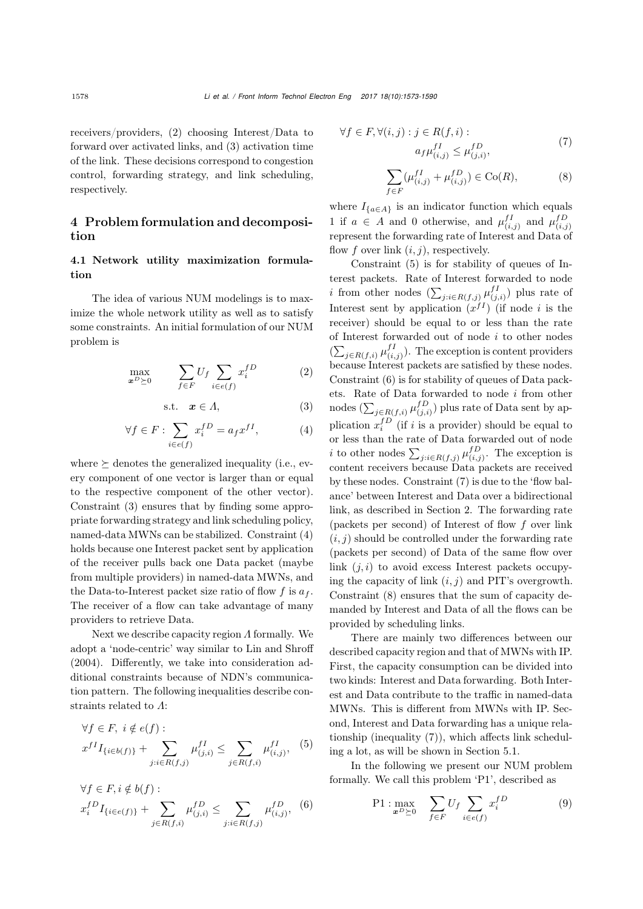receivers/providers, (2) choosing Interest/Data to forward over activated links, and (3) activation time of the link. These decisions correspond to congestion control, forwarding strategy, and link scheduling, respectively.

# 4 Problem formulation and decomposition

# 4.1 Network utility maximization formulation

The idea of various NUM modelings is to maximize the whole network utility as well as to satisfy some constraints. An initial formulation of our NUM problem is

$$
\max_{\boldsymbol{x}^D \succeq 0} \qquad \sum_{f \in F} U_f \sum_{i \in e(f)} x_i^{fD} \tag{2}
$$

<span id="page-5-0"></span>
$$
s.t. \tx \in A,
$$
\t(3)

<span id="page-5-1"></span>
$$
\forall f \in F : \sum_{i \in e(f)} x_i^{fD} = a_f x^{fI}, \tag{4}
$$

where  $\succeq$  denotes the generalized inequality (i.e., every component of one vector is larger than or equal to the respective component of the other vector). Constraint [\(3\)](#page-5-0) ensures that by finding some appropriate forwarding strategy and link scheduling policy, named-data MWNs can be stabilized. Constraint [\(4\)](#page-5-1) holds because one Interest packet sent by application of the receiver pulls back one Data packet (maybe from multiple providers) in named-data MWNs, and the Data-to-Interest packet size ratio of flow f is  $a_f$ . The receiver of a flow can take advantage of many providers to retrieve Data.

Next we describe capacity region Λ formally. We adopt a 'node-centric' way similar to [Lin and Shroff](#page-13-9) [\(2004](#page-13-9)). Differently, we take into consideration additional constraints because of NDN's communication pattern. The following inequalities describe constraints related to Λ:

<span id="page-5-2"></span>
$$
\forall f \in F, \ i \notin e(f):
$$
  

$$
x^{f I} I_{\{i \in b(f)\}} + \sum_{j:i \in R(f,j)} \mu_{(j,i)}^{f I} \le \sum_{j \in R(f,i)} \mu_{(i,j)}^{f I}, \ (5)
$$

<span id="page-5-3"></span>
$$
\forall f \in F, i \notin b(f):
$$
  

$$
x_i^{fD} I_{\{i \in e(f)\}} + \sum_{j \in R(f,i)} \mu_{(j,i)}^{fD} \le \sum_{j:i \in R(f,j)} \mu_{(i,j)}^{fD}, \quad (6)
$$

<span id="page-5-4"></span>
$$
\forall f \in F, \forall (i, j) : j \in R(f, i):
$$

$$
a_f \mu_{(i,j)}^{fI} \le \mu_{(j,i)}^{fD}, \tag{7}
$$

<span id="page-5-5"></span>
$$
\sum_{f \in F} (\mu_{(i,j)}^{fI} + \mu_{(i,j)}^{fD}) \in \text{Co}(R),\tag{8}
$$

where  $I_{\{a \in A\}}$  is an indicator function which equals 1 if  $a \in A$  and 0 otherwise, and  $\mu_{(i,j)}^{fI}$  and  $\mu_{(i,j)}^{fD}$ represent the forwarding rate of Interest and Data of flow f over link  $(i, j)$ , respectively.

Constraint [\(5\)](#page-5-2) is for stability of queues of Interest packets. Rate of Interest forwarded to node *i* from other nodes  $(\sum_{j:i\in R(f,j)} \mu_{(j,i)}^{fI})$  plus rate of Interest sent by application  $(x^{fI})$  (if node i is the receiver) should be equal to or less than the rate of Interest forwarded out of node  $i$  to other nodes  $(\sum_{j\in R(f,i)} \mu_{(i,j)}^{fI})$ . The exception is content providers because Interest packets are satisfied by these nodes. Constraint [\(6\)](#page-5-3) is for stability of queues of Data packets. Rate of Data forwarded to node i from other nodes  $(\sum_{j \in R(f,i)} \mu_{(j,i)}^{fD})$  plus rate of Data sent by application  $x_i^{fD}$  (if i is a provider) should be equal to or less than the rate of Data forwarded out of node *i* to other nodes  $\sum_{j:i\in R(f,j)} \mu_{(i,j)}^{fD}$ . The exception is content receivers because Data packets are received by these nodes. Constraint [\(7\)](#page-5-4) is due to the 'flow balance' between Interest and Data over a bidirectional link, as described in Section [2.](#page-2-0) The forwarding rate (packets per second) of Interest of flow  $f$  over link  $(i, j)$  should be controlled under the forwarding rate (packets per second) of Data of the same flow over link  $(j, i)$  to avoid excess Interest packets occupying the capacity of link  $(i, j)$  and PIT's overgrowth. Constraint [\(8\)](#page-5-5) ensures that the sum of capacity demanded by Interest and Data of all the flows can be provided by scheduling links.

There are mainly two differences between our described capacity region and that of MWNs with IP. First, the capacity consumption can be divided into two kinds: Interest and Data forwarding. Both Interest and Data contribute to the traffic in named-data MWNs. This is different from MWNs with IP. Second, Interest and Data forwarding has a unique relationship (inequality [\(7\)](#page-5-4)), which affects link scheduling a lot, as will be shown in Section [5.1.](#page-7-1)

In the following we present our NUM problem formally. We call this problem 'P1', described as

<span id="page-5-6"></span>
$$
\text{P1}: \max_{\boldsymbol{x}^D \succeq 0} \quad \sum_{f \in F} U_f \sum_{i \in e(f)} x_i^{fD} \tag{9}
$$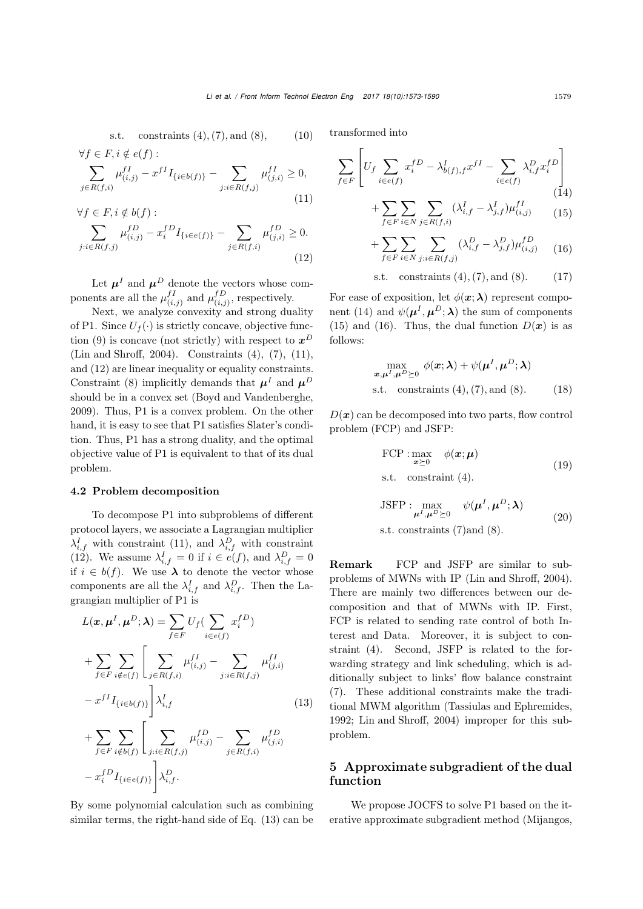s.t. constraints (4), (7), and (8), 
$$
(10)
$$
  
\n $\forall f \in F, i \notin e(f)$ :

<span id="page-6-0"></span>
$$
\sum_{j \in R(f,i)} \mu_{(i,j)}^{fI} - x^{fI} I_{\{i \in b(f)\}} - \sum_{j:i \in R(f,j)} \mu_{(j,i)}^{fI} \ge 0,
$$
\n(11)

<span id="page-6-1"></span>
$$
\forall f \in F, i \notin b(f):
$$
  

$$
\sum_{j:i \in R(f,j)} \mu_{(i,j)}^{fD} - x_i^{fD} I_{\{i \in e(f)\}} - \sum_{j \in R(f,i)} \mu_{(j,i)}^{fD} \ge 0.
$$
  
(12)

Let  $\pmb{\mu}^I$  and  $\pmb{\mu}^D$  denote the vectors whose components are all the  $\mu_{(i,j)}^{fI}$  and  $\mu_{(i,j)}^{fD}$ , respectively.

Next, we analyze convexity and strong duality of P1. Since  $U_f(\cdot)$  is strictly concave, objective func-tion [\(9\)](#page-5-6) is concave (not strictly) with respect to  $x^D$ [\(Lin and Shroff](#page-13-9), [2004\)](#page-13-9). Constraints [\(4\)](#page-5-1), [\(7\)](#page-5-4), [\(11\)](#page-6-0), and [\(12\)](#page-6-1) are linear inequality or equality constraints. Constraint [\(8\)](#page-5-5) implicitly demands that  $\mu^I$  and  $\mu^D$ should be in a convex set [\(Boyd and Vandenberghe,](#page-13-20) [2009](#page-13-20)). Thus, P1 is a convex problem. On the other hand, it is easy to see that P1 satisfies Slater's condition. Thus, P1 has a strong duality, and the optimal objective value of P1 is equivalent to that of its dual problem.

#### 4.2 Problem decomposition

To decompose P1 into subproblems of different protocol layers, we associate a Lagrangian multiplier  $\lambda_{i,f}^I$  with constraint [\(11\)](#page-6-0), and  $\lambda_{i,f}^D$  with constraint [\(12\)](#page-6-1). We assume  $\lambda_{i,f}^I = 0$  if  $i \in e(f)$ , and  $\lambda_{i,f}^D = 0$ if  $i \in b(f)$ . We use  $\lambda$  to denote the vector whose components are all the  $\lambda_{i,f}^I$  and  $\lambda_{i,f}^D$ . Then the Lagrangian multiplier of P1 is

<span id="page-6-2"></span>
$$
L(\mathbf{x}, \boldsymbol{\mu}^{I}, \boldsymbol{\mu}^{D}; \boldsymbol{\lambda}) = \sum_{f \in F} U_{f}(\sum_{i \in e(f)} x_{i}^{fD})
$$
  
+ 
$$
\sum_{f \in F} \sum_{i \notin e(f)} \left[ \sum_{j \in R(f,i)} \mu_{(i,j)}^{fI} - \sum_{j:i \in R(f,j)} \mu_{(j,i)}^{fI} - x^{fI} I_{\{i \in b(f)\}} \right] \lambda_{i,f}^{I}
$$
  
- 
$$
x^{fI} I_{\{i \in b(f)\}} \left[ \sum_{j:i \in R(f,j)} \mu_{(i,j)}^{fD} - \sum_{j \in R(f,i)} \mu_{(j,i)}^{fD} - x_{i}^{fD} I_{\{i \in e(f)\}} \right] \lambda_{i,f}^{D}.
$$
 (13)

By some polynomial calculation such as combining similar terms, the right-hand side of Eq. [\(13\)](#page-6-2) can be

transformed into

<span id="page-6-3"></span>
$$
\sum_{f \in F} \left[ U_f \sum_{i \in e(f)} x_i^{fD} - \lambda_{b(f),f}^I x^{fI} - \sum_{i \in e(f)} \lambda_{i,f}^D x_i^{fD} \right] + \sum_{i \in e(f)} \sum_{i \in A} (\lambda_{i,f}^I - \lambda_{i,f}^I) \mu_{(i,i)}^{fI} \tag{15}
$$

<span id="page-6-4"></span>
$$
+\sum_{f\in F}\sum_{i\in N}\sum_{j\in R(f,i)}(\lambda_{i,f}^{I}-\lambda_{j,f}^{I})\mu_{(i,j)}^{fI}
$$
 (15)

<span id="page-6-5"></span>
$$
+\sum_{f\in F}\sum_{i\in N}\sum_{j:i\in R(f,j)}(\lambda_{i,f}^D-\lambda_{j,f}^D)\mu_{(i,j)}^{fD} \qquad (16)
$$

s.t. constraints  $(4)$ ,  $(7)$ , and  $(8)$ . (17)

For ease of exposition, let  $\phi(\mathbf{x}; \lambda)$  represent compo-nent [\(14\)](#page-6-3) and  $\psi(\mu^I, \mu^D; \lambda)$  the sum of components [\(15\)](#page-6-4) and [\(16\)](#page-6-5). Thus, the dual function  $D(x)$  is as follows:

$$
\max_{\boldsymbol{x}, \boldsymbol{\mu}^I, \boldsymbol{\mu}^D \succeq 0} \phi(\boldsymbol{x}; \boldsymbol{\lambda}) + \psi(\boldsymbol{\mu}^I, \boldsymbol{\mu}^D; \boldsymbol{\lambda})
$$
  
s.t. constraints (4), (7), and (8). (18)

 $D(x)$  can be decomposed into two parts, flow control problem (FCP) and JSFP:

FCP: 
$$
\max_{\mathbf{x} \succeq 0} \phi(\mathbf{x}; \boldsymbol{\mu})
$$
  
s.t. constraint (4). (19)

$$
JSFP: \max_{\mu^I, \mu^D \succeq 0} \psi(\mu^I, \mu^D; \lambda)
$$
  
s.t. constraints (7) and (8). (20)

Remark FCP and JSFP are similar to subproblems of MWNs with IP [\(Lin and Shroff](#page-13-9), [2004\)](#page-13-9). There are mainly two differences between our decomposition and that of MWNs with IP. First, FCP is related to sending rate control of both Interest and Data. Moreover, it is subject to constraint [\(4\)](#page-5-1). Second, JSFP is related to the forwarding strategy and link scheduling, which is additionally subject to links' flow balance constraint [\(7\)](#page-5-4). These additional constraints make the traditional MWM algorithm [\(Tassiulas and Ephremides](#page-14-11), [1992](#page-14-11); [Lin and Shroff, 2004\)](#page-13-9) improper for this subproblem.

# 5 Approximate subgradient of the dual function

We propose JOCFS to solve P1 based on the iterative approximate subgradient method [\(Mijangos](#page-13-14),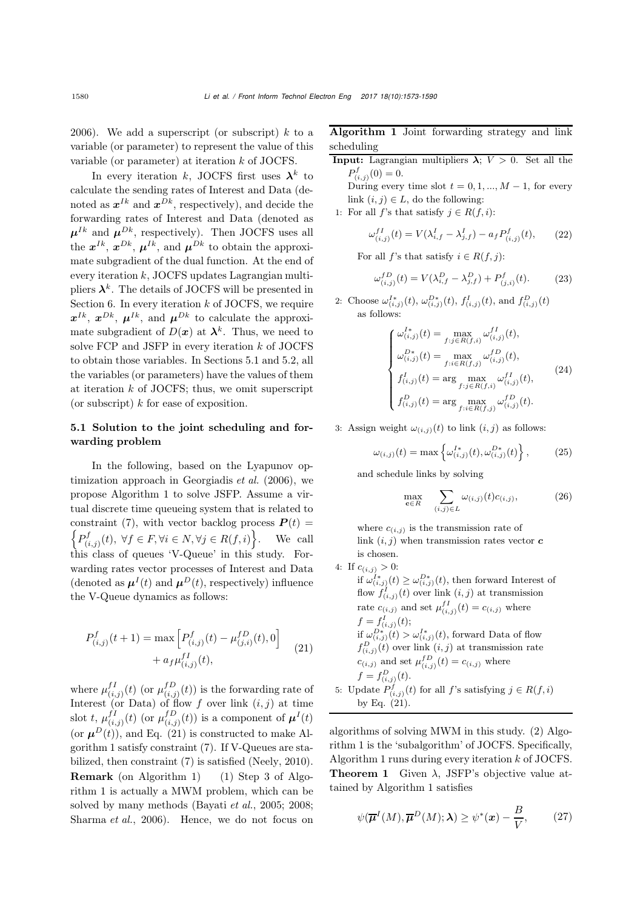[2006](#page-13-14)). We add a superscript (or subscript)  $k$  to a variable (or parameter) to represent the value of this variable (or parameter) at iteration k of JOCFS.

In every iteration k, JOCFS first uses  $\lambda^k$  to calculate the sending rates of Interest and Data (denoted as  $x^{Ik}$  and  $x^{Dk}$ , respectively), and decide the forwarding rates of Interest and Data (denoted as  $\mu^{Ik}$  and  $\mu^{Dk}$ , respectively). Then JOCFS uses all the  $x^{Ik}$ ,  $x^{Dk}$ ,  $\mu^{Ik}$ , and  $\mu^{Dk}$  to obtain the approximate subgradient of the dual function. At the end of every iteration  $k$ , JOCFS updates Lagrangian multipliers  $\lambda^k$ . The details of JOCFS will be presented in Section [6.](#page-9-0) In every iteration  $k$  of JOCFS, we require  $x^{Ik}$ ,  $x^{Dk}$ ,  $\mu^{Ik}$ , and  $\mu^{Dk}$  to calculate the approximate subgradient of  $D(x)$  at  $\lambda^k$ . Thus, we need to solve FCP and JSFP in every iteration  $k$  of JOCFS to obtain those variables. In Sections [5.1](#page-7-1) and [5.2,](#page-8-0) all the variables (or parameters) have the values of them at iteration  $k$  of JOCFS; thus, we omit superscript (or subscript)  $k$  for ease of exposition.

## <span id="page-7-1"></span>5.1 Solution to the joint scheduling and forwarding problem

In the following, based on the Lyapunov optimization approach in [Georgiadis](#page-13-15) *et al.* [\(2006\)](#page-13-15), we propose Algorithm [1](#page-7-0) to solve JSFP. Assume a virtual discrete time queueing system that is related to constraint [\(7\)](#page-5-4), with vector backlog process  $P(t)$  =  $\left\{P^f_{(i,j)}(t), \ \forall f \in F, \forall i \in N, \forall j \in R(f,i)\right\}$ . We call this class of queues 'V-Queue' in this study. Forwarding rates vector processes of Interest and Data (denoted as  $\mu^{I}(t)$  and  $\mu^{D}(t)$ , respectively) influence the V-Queue dynamics as follows:

<span id="page-7-2"></span>
$$
P_{(i,j)}^{f}(t+1) = \max \left[ P_{(i,j)}^{f}(t) - \mu_{(j,i)}^{f}(t), 0 \right] + a_{f} \mu_{(i,j)}^{f}(t), \qquad (21)
$$

where  $\mu_{(i,j)}^{f} (t)$  (or  $\mu_{(i,j)}^{f} (t)$ ) is the forwarding rate of Interest (or Data) of flow f over link  $(i, j)$  at time slot t,  $\mu_{(i,j)}^{fI}(t)$  (or  $\mu_{(i,j)}^{fD}(t)$ ) is a component of  $\boldsymbol{\mu}^{I}(t)$ (or  $\mu^{D}(t)$ ), and Eq. [\(21\)](#page-7-2) is constructed to make Algorithm [1](#page-7-0) satisfy constraint [\(7\)](#page-5-4). If V-Queues are stabilized, then constraint [\(7\)](#page-5-4) is satisfied [\(Neely](#page-13-21), [2010\)](#page-13-21). Remark (on Algorithm [1\)](#page-7-0) (1) Step 3 of Algorithm [1](#page-7-0) is actually a MWM problem, which can be solved by many methods [\(Bayati](#page-13-22) *et al.*, [2005;](#page-13-22) [2008;](#page-13-23) [Sharma](#page-13-24) *et al.*, [2006\)](#page-13-24). Hence, we do not focus on <span id="page-7-0"></span>Algorithm 1 Joint forwarding strategy and link scheduling

- **Input:** Lagrangian multipliers  $\lambda$ ;  $V > 0$ . Set all the  $P^f_{(i,j)}(0) = 0.$ <br>During over
	- During every time slot  $t = 0, 1, ..., M 1$ , for every link  $(i, j) \in L$ , do the following:
- 1: For all f's that satisfy  $j \in R(f, i)$ :

$$
\omega_{(i,j)}^{fI}(t) = V(\lambda_{i,f}^{I} - \lambda_{j,f}^{I}) - a_f P_{(i,j)}^{f}(t), \qquad (22)
$$

For all f's that satisfy  $i \in R(f, j)$ :

$$
\omega_{(i,j)}^{fD}(t) = V(\lambda_{i,f}^D - \lambda_{j,f}^D) + P_{(j,i)}^f(t). \tag{23}
$$

2: Choose  $\omega_{(i,j)}^{I*}(t)$ ,  $\omega_{(i,j)}^{D*}(t)$ ,  $f_{(i,j)}^{I}(t)$ , and  $f_{(i,j)}^{D}(t)$  as follows:

$$
\begin{cases}\n\omega_{(i,j)}^{I*}(t) = \max_{f:j \in R(f,i)} \omega_{(i,j)}^{fI}(t), \\
\omega_{(i,j)}^{D*}(t) = \max_{f:i \in R(f,j)} \omega_{(i,j)}^{fD}(t), \\
f_{(i,j)}^{I}(t) = \arg \max_{f:j \in R(f,i)} \omega_{(i,j)}^{fI}(t), \\
f_{(i,j)}^{D}(t) = \arg \max_{f:i \in R(f,j)} \omega_{(i,j)}^{fD}(t).\n\end{cases}
$$
\n(24)

3: Assign weight  $\omega_{(i,j)}(t)$  to link  $(i, j)$  as follows:

$$
\omega_{(i,j)}(t) = \max \left\{ \omega_{(i,j)}^{I*}(t), \omega_{(i,j)}^{D*}(t) \right\},\qquad(25)
$$

and schedule links by solving

<span id="page-7-4"></span>
$$
\max_{\mathbf{c}\in R} \sum_{(i,j)\in L} \omega_{(i,j)}(t)c_{(i,j)},\tag{26}
$$

where  $c_{(i,j)}$  is the transmission rate of link  $(i, j)$  when transmission rates vector  $c$ is chosen.

4: If  $c_{(i,j)} > 0$ : if  $\omega_{(i,j)}^{I^*}(t) \geq \omega_{(i,j)}^{D^*}(t)$ , then forward Interest of flow  $f^I_{(i,j)}(t)$  over link  $(i,j)$  at transmission rate  $c_{(i,j)}$  and set  $\mu_{(i,j)}^{f} (t) = c_{(i,j)}$  where  $f = f^I_{(i,j)}(t);$ <br>if  $P^*_{(i,j)}(t)$ if  $\omega_{(i,j)}^{D^*}(t) > \omega_{(i,j)}^{I^*}(t)$ , forward Data of flow<br>  $\epsilon^{D}$  (*t*) organisate (*i, i*) at transmission rate  $f_{(i,j)}^D(t)$  over link  $(i,j)$  at transmission rate  $c_{(i,j)}$  and set  $\mu_{(i,j)}^{fD}(t) = c_{(i,j)}$  where  $f = f_{(i,j)}^D(t).$ 5: Update  $P_{(i,j)}^f(t)$  for all f's satisfying  $j \in R(f, i)$ <br>by Eq. (21) by Eq. [\(21\)](#page-7-2).

<span id="page-7-3"></span>algorithms of solving MWM in this study. (2) Algorithm [1](#page-7-0) is the 'subalgorithm' of JOCFS. Specifically, Algorithm [1](#page-7-0) runs during every iteration k of JOCFS. **Theorem 1** Given  $\lambda$ , JSFP's objective value attained by Algorithm [1](#page-7-0) satisfies

<span id="page-7-5"></span>
$$
\psi(\overline{\boldsymbol{\mu}}^{I}(M), \overline{\boldsymbol{\mu}}^{D}(M); \lambda) \geq \psi^{*}(\boldsymbol{x}) - \frac{B}{V}, \qquad (27)
$$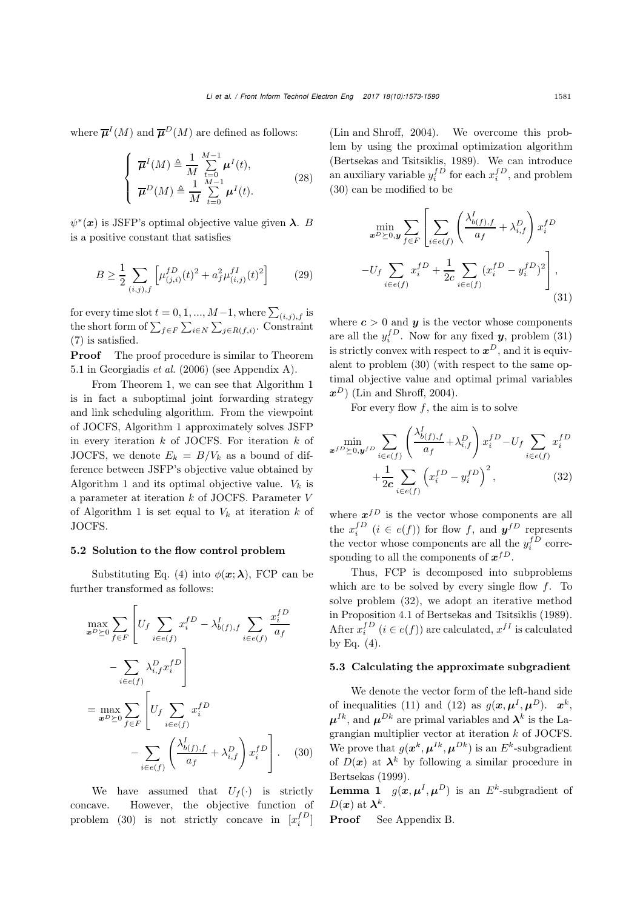where  $\overline{\mu}^I(M)$  and  $\overline{\mu}^D(M)$  are defined as follows:

$$
\begin{cases}\n\overline{\boldsymbol{\mu}}^{I}(M) \triangleq \frac{1}{M} \sum_{t=0}^{M-1} \boldsymbol{\mu}^{I}(t), \\
\overline{\boldsymbol{\mu}}^{D}(M) \triangleq \frac{1}{M} \sum_{t=0}^{M-1} \boldsymbol{\mu}^{I}(t).\n\end{cases} (28)
$$

 $\psi^*(x)$  is JSFP's optimal objective value given  $\lambda$ . B is a positive constant that satisfies

$$
B \ge \frac{1}{2} \sum_{(i,j),f} \left[ \mu_{(j,i)}^{fD}(t)^2 + a_f^2 \mu_{(i,j)}^{fI}(t)^2 \right] \tag{29}
$$

for every time slot  $t = 0, 1, ..., M-1$ , where  $\sum_{(i,j),f}$  is the short form of  $\sum_{f \in F} \sum_{i \in N} \sum_{j \in R(f,i)}$ . Constraint [\(7\)](#page-5-4) is satisfied.

**Proof** The proof procedure is similar to Theorem 5.1 in [Georgiadis](#page-13-15) *et al.* [\(2006\)](#page-13-15) (see Appendix A).

From Theorem [1,](#page-7-3) we can see that Algorithm [1](#page-7-0) is in fact a suboptimal joint forwarding strategy and link scheduling algorithm. From the viewpoint of JOCFS, Algorithm [1](#page-7-0) approximately solves JSFP in every iteration  $k$  of JOCFS. For iteration  $k$  of JOCFS, we denote  $E_k = B/V_k$  as a bound of difference between JSFP's objective value obtained by Algorithm [1](#page-7-0) and its optimal objective value.  $V_k$  is a parameter at iteration k of JOCFS. Parameter V of Algorithm [1](#page-7-0) is set equal to  $V_k$  at iteration k of JOCFS.

#### <span id="page-8-0"></span>5.2 Solution to the flow control problem

Substituting Eq. [\(4\)](#page-5-1) into  $\phi(\mathbf{x}; \lambda)$ , FCP can be further transformed as follows:

$$
\max_{\boldsymbol{x}^D \succeq 0} \sum_{f \in F} \left[ U_f \sum_{i \in e(f)} x_i^{fD} - \lambda_{b(f), f}^I \sum_{i \in e(f)} \frac{x_i^{fD}}{a_f} - \sum_{i \in e(f)} \lambda_{i, f}^D x_i^{fD} \right]
$$

$$
= \max_{\boldsymbol{x}^D \succeq 0} \sum_{f \in F} \left[ U_f \sum_{i \in e(f)} x_i^{fD} - \sum_{i \in e(f)} \left( \frac{\lambda_{b(f), f}^I}{a_f} + \lambda_{i, f}^D \right) x_i^{fD} \right]. \tag{30}
$$

We have assumed that  $U_f(\cdot)$  is strictly concave. However, the objective function of problem [\(30\)](#page-8-1) is not strictly concave in  $[x_i^{fD}]$ 

<span id="page-8-5"></span>[\(Lin and Shroff](#page-13-9), [2004\)](#page-13-9). We overcome this problem by using the proximal optimization algorithm [\(Bertsekas and Tsitsiklis, 1989\)](#page-13-25). We can introduce an auxiliary variable  $y_i^{fD}$  for each  $x_i^{fD}$ , and problem [\(30\)](#page-8-1) can be modified to be

<span id="page-8-2"></span>
$$
\min_{\mathbf{x}^D \succeq 0, \mathbf{y}} \sum_{f \in F} \left[ \sum_{i \in e(f)} \left( \frac{\lambda_{b(f), f}^I}{a_f} + \lambda_{i, f}^D \right) x_i^{fD} \right]
$$

$$
-U_f \sum_{i \in e(f)} x_i^{fD} + \frac{1}{2c} \sum_{i \in e(f)} (x_i^{fD} - y_i^{fD})^2 \right],
$$
(31)

<span id="page-8-6"></span>where  $c > 0$  and  $y$  is the vector whose components are all the  $y_i^{fD}$ . Now for any fixed **y**, problem [\(31\)](#page-8-2) is strictly convex with respect to  $x^D$ , and it is equivalent to problem [\(30\)](#page-8-1) (with respect to the same optimal objective value and optimal primal variables  $x^D$ ) [\(Lin and Shroff, 2004\)](#page-13-9).

<span id="page-8-3"></span>For every flow  $f$ , the aim is to solve

$$
\min_{\mathbf{x}^{fD} \succeq 0, \mathbf{y}^{fD}} \sum_{i \in e(f)} \left( \frac{\lambda_{b(f), f}^{I}}{a_f} + \lambda_{i, f}^{D} \right) x_i^{fD} - U_f \sum_{i \in e(f)} x_i^{fD} + \frac{1}{2c} \sum_{i \in e(f)} \left( x_i^{fD} - y_i^{fD} \right)^2, \tag{32}
$$

where  $x^{fD}$  is the vector whose components are all the  $x_i^{fD}$   $(i \in e(f))$  for flow f, and  $\mathbf{y}^{fD}$  represents the vector whose components are all the  $y_i^{fD}$  corresponding to all the components of  $x^{fD}$ .

Thus, FCP is decomposed into subproblems which are to be solved by every single flow  $f$ . To solve problem [\(32\)](#page-8-3), we adopt an iterative method in Proposition 4.1 of [Bertsekas and Tsitsiklis](#page-13-25) [\(1989\)](#page-13-25). After  $x_i^{fD}$   $(i \in e(f))$  are calculated,  $x^{fI}$  is calculated by Eq.  $(4)$ .

#### 5.3 Calculating the approximate subgradient

We denote the vector form of the left-hand side of inequalities [\(11\)](#page-6-0) and [\(12\)](#page-6-1) as  $q(x, \mu^I, \mu^D)$ .  $x^k$ ,  $\mu^{Ik}$ , and  $\mu^{Dk}$  are primal variables and  $\lambda^k$  is the Lagrangian multiplier vector at iteration k of JOCFS. We prove that  $g(x^k, \mu^{Ik}, \mu^{Dk})$  is an  $E^k$ -subgradient of  $D(x)$  at  $\lambda^k$  by following a similar procedure in [Bertsekas](#page-13-26) [\(1999](#page-13-26)).

<span id="page-8-4"></span><span id="page-8-1"></span>**Lemma 1**  $g(x, \mu^I, \mu^D)$  is an  $E^k$ -subgradient of  $D(\boldsymbol{x})$  at  $\boldsymbol{\lambda}^k$ .

Proof See Appendix B.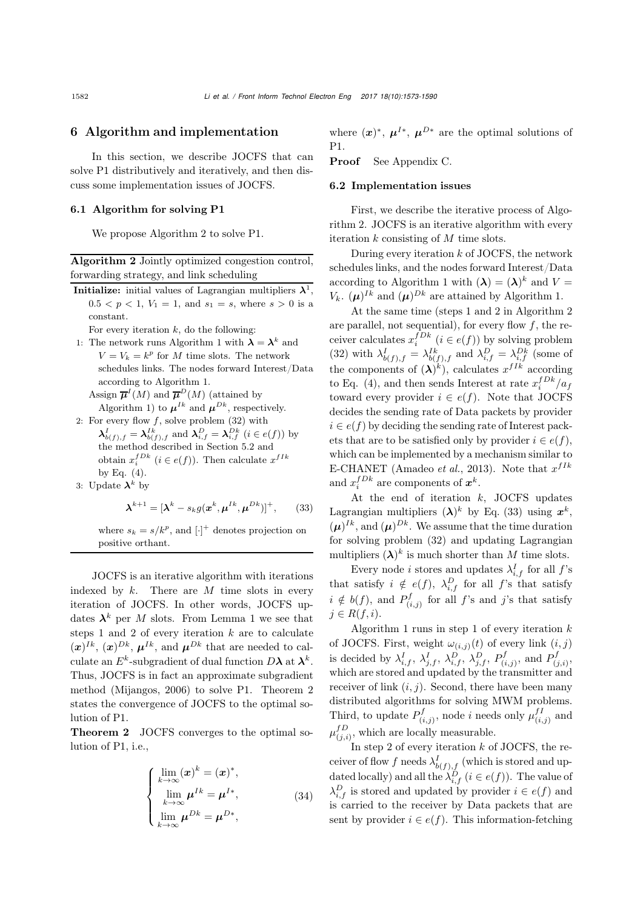#### <span id="page-9-0"></span>6 Algorithm and implementation

In this section, we describe JOCFS that can solve P1 distributively and iteratively, and then discuss some implementation issues of JOCFS.

#### 6.1 Algorithm for solving P1

We propose Algorithm [2](#page-9-1) to solve P1.

<span id="page-9-1"></span>Algorithm 2 Jointly optimized congestion control, forwarding strategy, and link scheduling

**Initialize:** initial values of Lagrangian multipliers  $\lambda^1$ ,  $0.5 < p < 1, V_1 = 1$ , and  $s_1 = s$ , where  $s > 0$  is a constant.

For every iteration  $k$ , do the following:

1: The network runs Algorithm [1](#page-7-0) with  $\lambda = \lambda^k$  and  $V = V_k = k^p$  for M time slots. The network schedules links. The nodes forward Interest/Data according to Algorithm [1.](#page-7-0)

Assign  $\overline{\mu}^I(M)$  and  $\overline{\mu}^D(M)$  (attained by Algorithm [1\)](#page-7-0) to  $\mu^{Ik}$  and  $\mu^{Dk}$ , respectively.

2: For every flow  $f$ , solve problem  $(32)$  with  $\lambda_{b(f),f}^{I} = \lambda_{b(f),f}^{Ik}$  and  $\lambda_{i,f}^{D} = \lambda_{i,f}^{Dk}$  (*i* ∈ *e*(*f*)) by the method described in Section [5.2](#page-8-0) and obtain  $x_i^{fDk}$   $(i \in e(f))$ . Then calculate  $x^{fIk}$ by Eq.  $(4)$ .

3: Update 
$$
\lambda^k
$$
 by

<span id="page-9-3"></span>
$$
\boldsymbol{\lambda}^{k+1} = [\boldsymbol{\lambda}^k - s_k g(\boldsymbol{x}^k, \boldsymbol{\mu}^{Ik}, \boldsymbol{\mu}^{Dk})]^+, \qquad (33)
$$

where  $s_k = s/k^p$ , and  $[\cdot]^+$  denotes projection on<br>positive orthant positive orthant.

JOCFS is an iterative algorithm with iterations indexed by  $k$ . There are  $M$  time slots in every iteration of JOCFS. In other words, JOCFS updates  $\lambda^k$  per M slots. From Lemma [1](#page-8-4) we see that steps 1 and 2 of every iteration  $k$  are to calculate  $(\boldsymbol{x})^{Ik}, (\boldsymbol{x})^{Dk}, \boldsymbol{\mu}^{Ik}, \text{ and } \boldsymbol{\mu}^{Dk} \text{ that are needed to cal$ culate an  $E^k$ -subgradient of dual function  $D\lambda$  at  $\lambda^k$ . Thus, JOCFS is in fact an approximate subgradient method [\(Mijangos, 2006\)](#page-13-14) to solve P1. Theorem [2](#page-9-2) states the convergence of JOCFS to the optimal solution of P1.

<span id="page-9-2"></span>Theorem 2 JOCFS converges to the optimal solution of P1, i.e.,

$$
\begin{cases}\n\lim_{k \to \infty} (\boldsymbol{x})^k = (\boldsymbol{x})^*, \\
\lim_{k \to \infty} \boldsymbol{\mu}^{Ik} = \boldsymbol{\mu}^{I*}, \\
\lim_{k \to \infty} \boldsymbol{\mu}^{Dk} = \boldsymbol{\mu}^{D*},\n\end{cases}
$$
\n(34)

where  $(x^*)^*$ ,  $\mu^{I*}$ ,  $\mu^{D*}$  are the optimal solutions of P1.

Proof See Appendix C.

#### 6.2 Implementation issues

First, we describe the iterative process of Algorithm [2.](#page-9-1) JOCFS is an iterative algorithm with every iteration k consisting of M time slots.

During every iteration  $k$  of JOCFS, the network schedules links, and the nodes forward Interest/Data according to Algorithm [1](#page-7-0) with  $({\lambda}) = ({\lambda})^k$  and  $V =$  $V_k$ .  $(\mu)^{Ik}$  and  $(\mu)^{Dk}$  are attained by Algorithm [1.](#page-7-0)

At the same time (steps 1 and 2 in Algorithm [2](#page-9-1) are parallel, not sequential), for every flow  $f$ , the receiver calculates  $x_i^{fDk}$   $(i \in e(f))$  by solving problem [\(32\)](#page-8-3) with  $\lambda_{b(f),f}^I = \lambda_{b(f),f}^{Ik}$  and  $\lambda_{i,f}^D = \lambda_{i,f}^{Dk}$  (some of the components of  $({\lambda})^k$ , calculates  $x^{fIk}$  according to Eq. [\(4\)](#page-5-1), and then sends Interest at rate  $x_i^{fDk}/a_f$ toward every provider  $i \in e(f)$ . Note that JOCFS decides the sending rate of Data packets by provider  $i \in e(f)$  by deciding the sending rate of Interest packets that are to be satisfied only by provider  $i \in e(f)$ , which can be implemented by a mechanism similar to E-CHANET [\(Amadeo](#page-13-2) *et al.*, [2013\)](#page-13-2). Note that  $x^{fIk}$ and  $x_i^{fDk}$  are components of  $x^k$ .

At the end of iteration  $k$ , JOCFS updates Lagrangian multipliers  $(\lambda)^k$  by Eq. [\(33\)](#page-9-3) using  $x^k$ ,  $(\mu)^{Ik}$ , and  $(\mu)^{Dk}$ . We assume that the time duration for solving problem [\(32\)](#page-8-3) and updating Lagrangian multipliers  $(\lambda)^k$  is much shorter than M time slots.

Every node *i* stores and updates  $\lambda_{i,f}^I$  for all  $f$ 's that satisfy  $i \notin e(f)$ ,  $\lambda_{i,f}^D$  for all f's that satisfy  $i \notin b(f)$ , and  $P_{(i,j)}^f$  for all f's and j's that satisfy  $j \in R(f, i)$ .

Algorithm [1](#page-7-0) runs in step 1 of every iteration  $k$ of JOCFS. First, weight  $\omega_{(i,j)}(t)$  of every link  $(i, j)$ is decided by  $\lambda_{i,f}^I$ ,  $\lambda_{j,f}^I$ ,  $\lambda_{i,f}^D$ ,  $\lambda_{j,f}^D$ ,  $P_{(i,j)}^f$ , and  $P_{(j,i)}^f$ , which are stored and updated by the transmitter and receiver of link  $(i, j)$ . Second, there have been many distributed algorithms for solving MWM problems. Third, to update  $P_{(i,j)}^f$ , node *i* needs only  $\mu_{(i,j)}^{fI}$  and  $\mu_{(j,i)}^{fD}$ , which are locally measurable.

In step 2 of every iteration  $k$  of JOCFS, the receiver of flow f needs  $\lambda_{b(f),f}^I$  (which is stored and updated locally) and all the  $\lambda_{i,f}^{\tilde{D}}$  ( $i \in e(f)$ ). The value of  $\lambda_{i,f}^D$  is stored and updated by provider  $i \in e(f)$  and is carried to the receiver by Data packets that are sent by provider  $i \in e(f)$ . This information-fetching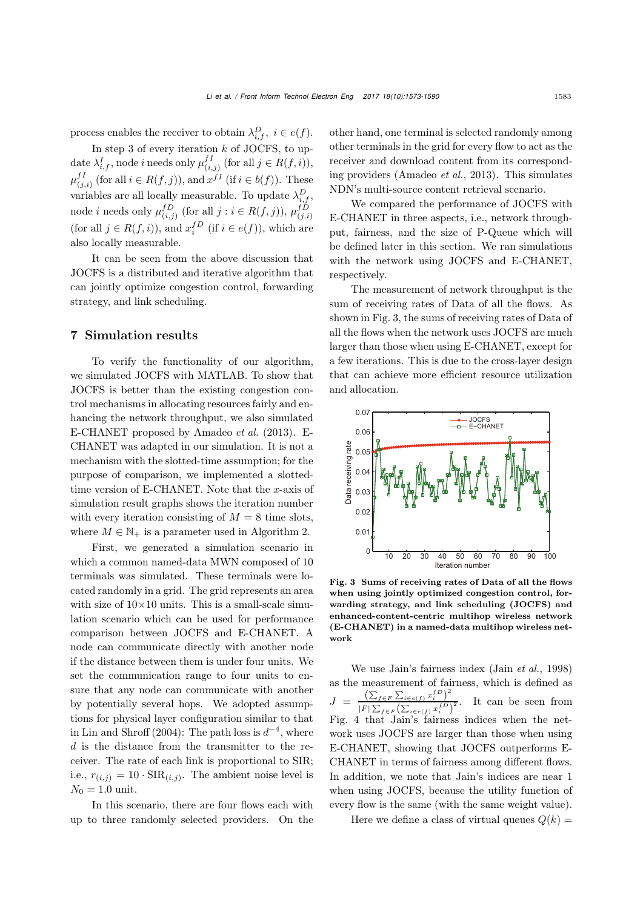process enables the receiver to obtain  $\lambda_{i,f}^D$ ,  $i \in e(f)$ .

In step 3 of every iteration  $k$  of JOCFS, to update  $\lambda_{i,f}^I$ , node *i* needs only  $\mu_{(i,j)}^{f I}$  (for all  $j \in R(f, i)$ ),  $\mu_{(j,i)}^{f I}$  (for all  $i \in R(f,j)$ ), and  $x^{f I}$  (if  $i \in b(f)$ ). These variables are all locally measurable. To update  $\lambda_{i,f}^D$ , node *i* needs only  $\mu_{(i,j)}^{fD}$  (for all  $j : i \in R(f, j)$ ),  $\mu_{(j,i)}^{fD}$ (for all  $j \in R(f, i)$ ), and  $x_i^{fD}$  (if  $i \in e(f)$ ), which are also locally measurable.

It can be seen from the above discussion that JOCFS is a distributed and iterative algorithm that can jointly optimize congestion control, forwarding strategy, and link scheduling.

#### 7 Simulation results

To verify the functionality of our algorithm, we simulated JOCFS with MATLAB. To show that JOCFS is better than the existing congestion control mechanisms in allocating resources fairly and enhancing the network throughput, we also simulated E-CHANET proposed by [Amadeo](#page-13-2) *et al.* [\(2013](#page-13-2)). E-CHANET was adapted in our simulation. It is not a mechanism with the slotted-time assumption; for the purpose of comparison, we implemented a slottedtime version of E-CHANET. Note that the x-axis of simulation result graphs shows the iteration number with every iteration consisting of  $M = 8$  time slots, where  $M \in \mathbb{N}_+$  is a parameter used in Algorithm [2.](#page-9-1)

First, we generated a simulation scenario in which a common named-data MWN composed of 10 terminals was simulated. These terminals were located randomly in a grid. The grid represents an area with size of  $10\times10$  units. This is a small-scale simulation scenario which can be used for performance comparison between JOCFS and E-CHANET. A node can communicate directly with another node if the distance between them is under four units. We set the communication range to four units to ensure that any node can communicate with another by potentially several hops. We adopted assumptions for physical layer configuration similar to that in [Lin and Shroff](#page-13-9) [\(2004\)](#page-13-9): The path loss is  $d^{-4}$ , where d is the distance from the transmitter to the receiver. The rate of each link is proportional to SIR; i.e.,  $r_{(i,j)} = 10 \cdot \text{SIR}_{(i,j)}$ . The ambient noise level is  $N_0 = 1.0 \text{ unit.}$ 

In this scenario, there are four flows each with up to three randomly selected providers. On the other hand, one terminal is selected randomly among other terminals in the grid for every flow to act as the receiver and download content from its corresponding providers [\(Amadeo](#page-13-2) *et al.*, [2013\)](#page-13-2). This simulates NDN's multi-source content retrieval scenario.

We compared the performance of JOCFS with E-CHANET in three aspects, i.e., network throughput, fairness, and the size of P-Queue which will be defined later in this section. We ran simulations with the network using JOCFS and E-CHANET, respectively.

The measurement of network throughput is the sum of receiving rates of Data of all the flows. As shown in Fig. [3,](#page-10-0) the sums of receiving rates of Data of all the flows when the network uses JOCFS are much larger than those when using E-CHANET, except for a few iterations. This is due to the cross-layer design that can achieve more efficient resource utilization and allocation.



<span id="page-10-0"></span>Fig. 3 Sums of receiving rates of Data of all the flows when using jointly optimized congestion control, forwarding strategy, and link scheduling (JOCFS) and enhanced-content-centric multihop wireless network (E-CHANET) in a named-data multihop wireless network

We use Jain's fairness index (Jain *[et al.](#page-13-27)*, [1998](#page-13-27)) as the measurement of fairness, which is defined as  $J = \frac{\left(\sum_{f \in F} \sum_{i \in e(f)} x_i^f{}^D\right)^2}{\left(\sum_{f \in F} \sum_{i \in f} x_i^f{}^D\right)^2}$  $\frac{\sum_{f \in F} \sum_{i \in e(f)} x_i^i}{|F| \sum_{f \in F} (\sum_{i \in e(f)} x_i^{fD})^2}$ . It can be seen from Fig. [4](#page-11-0) that Jain's fairness indices when the network uses JOCFS are larger than those when using E-CHANET, showing that JOCFS outperforms E-CHANET in terms of fairness among different flows. In addition, we note that Jain's indices are near 1 when using JOCFS, because the utility function of every flow is the same (with the same weight value).

Here we define a class of virtual queues  $Q(k)$  =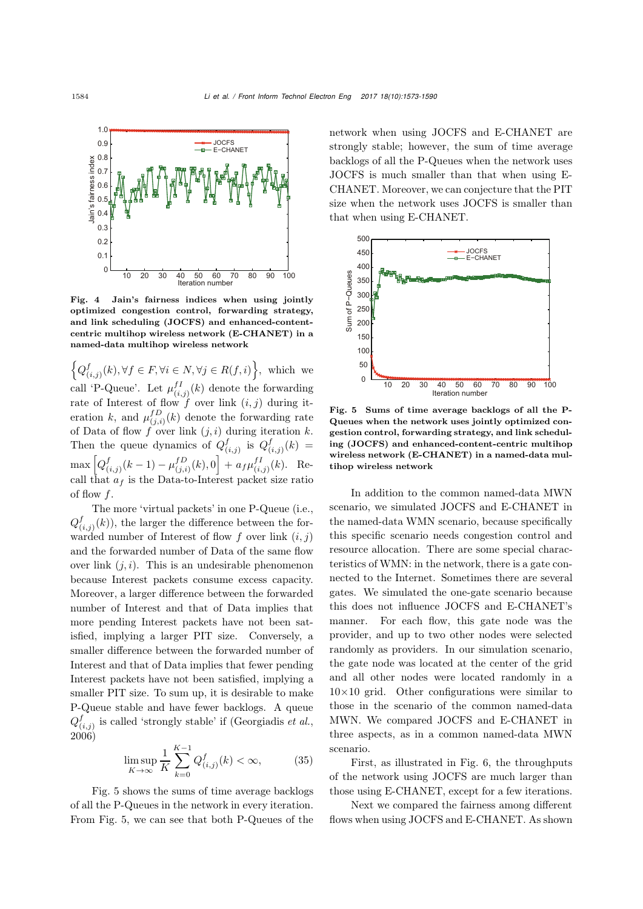

<span id="page-11-0"></span>Fig. 4 Jain's fairness indices when using jointly optimized congestion control, forwarding strategy, and link scheduling (JOCFS) and enhanced-contentcentric multihop wireless network (E-CHANET) in a named-data multihop wireless network

 $\left\{Q^f_{(i,j)}(k), \forall f \in F, \forall i \in N, \forall j \in R(f,i)\right\}$ , which we call 'P-Queue'. Let  $\mu_{(i,j)}^{fI}(k)$  denote the forwarding rate of Interest of flow f over link  $(i, j)$  during iteration k, and  $\mu_{(j,i)}^{fD}(k)$  denote the forwarding rate of Data of flow f over link  $(j, i)$  during iteration k. Then the queue dynamics of  $Q_{(i,j)}^f$  is  $Q_{(i,j)}^f(k) =$  $\max \left[Q^{f}_{(i,j)}(k-1) - \mu^{fD}_{(j,i)}(k), 0\right] + a_f \mu^{fI}_{(i,j)}(k)$ . Recall that  $a_f$  is the Data-to-Interest packet size ratio of flow  $f$ .

The more 'virtual packets' in one P-Queue (i.e.,  $Q^f_{(i,j)}(k)$ , the larger the difference between the forwarded number of Interest of flow f over link  $(i, j)$ and the forwarded number of Data of the same flow over link  $(i, i)$ . This is an undesirable phenomenon because Interest packets consume excess capacity. Moreover, a larger difference between the forwarded number of Interest and that of Data implies that more pending Interest packets have not been satisfied, implying a larger PIT size. Conversely, a smaller difference between the forwarded number of Interest and that of Data implies that fewer pending Interest packets have not been satisfied, implying a smaller PIT size. To sum up, it is desirable to make P-Queue stable and have fewer backlogs. A queue  $Q_{(i,j)}^f$  is called 'strongly stable' if [\(Georgiadis](#page-13-15) *et al.*, [2006](#page-13-15))

$$
\limsup_{K \to \infty} \frac{1}{K} \sum_{k=0}^{K-1} Q_{(i,j)}^f(k) < \infty,\tag{35}
$$

Fig. [5](#page-11-1) shows the sums of time average backlogs of all the P-Queues in the network in every iteration. From Fig. [5,](#page-11-1) we can see that both P-Queues of the network when using JOCFS and E-CHANET are strongly stable; however, the sum of time average backlogs of all the P-Queues when the network uses JOCFS is much smaller than that when using E-CHANET. Moreover, we can conjecture that the PIT size when the network uses JOCFS is smaller than that when using E-CHANET.



<span id="page-11-1"></span>Fig. 5 Sums of time average backlogs of all the P-Queues when the network uses jointly optimized congestion control, forwarding strategy, and link scheduling (JOCFS) and enhanced-content-centric multihop wireless network (E-CHANET) in a named-data multihop wireless network

In addition to the common named-data MWN scenario, we simulated JOCFS and E-CHANET in the named-data WMN scenario, because specifically this specific scenario needs congestion control and resource allocation. There are some special characteristics of WMN: in the network, there is a gate connected to the Internet. Sometimes there are several gates. We simulated the one-gate scenario because this does not influence JOCFS and E-CHANET's manner. For each flow, this gate node was the provider, and up to two other nodes were selected randomly as providers. In our simulation scenario, the gate node was located at the center of the grid and all other nodes were located randomly in a  $10\times10$  grid. Other configurations were similar to those in the scenario of the common named-data MWN. We compared JOCFS and E-CHANET in three aspects, as in a common named-data MWN scenario.

First, as illustrated in Fig. [6,](#page-12-0) the throughputs of the network using JOCFS are much larger than those using E-CHANET, except for a few iterations.

Next we compared the fairness among different flows when using JOCFS and E-CHANET. As shown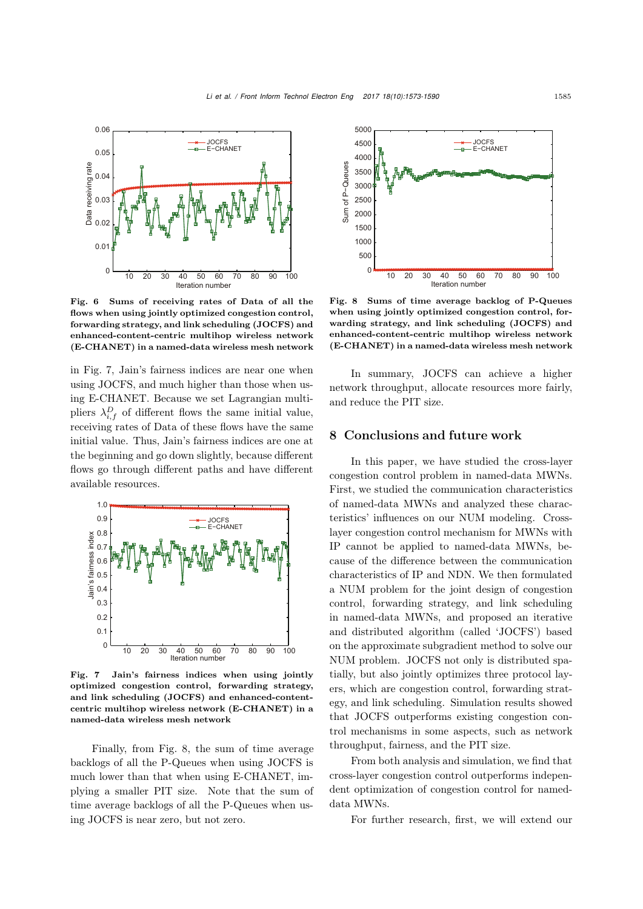

<span id="page-12-0"></span>Fig. 6 Sums of receiving rates of Data of all the flows when using jointly optimized congestion control, forwarding strategy, and link scheduling (JOCFS) and enhanced-content-centric multihop wireless network (E-CHANET) in a named-data wireless mesh network

in Fig. [7,](#page-12-1) Jain's fairness indices are near one when using JOCFS, and much higher than those when using E-CHANET. Because we set Lagrangian multipliers  $\lambda_{i,f}^D$  of different flows the same initial value, receiving rates of Data of these flows have the same initial value. Thus, Jain's fairness indices are one at the beginning and go down slightly, because different flows go through different paths and have different available resources.



<span id="page-12-1"></span>Fig. 7 Jain's fairness indices when using jointly optimized congestion control, forwarding strategy, and link scheduling (JOCFS) and enhanced-contentcentric multihop wireless network (E-CHANET) in a named-data wireless mesh network

Finally, from Fig. [8,](#page-12-2) the sum of time average backlogs of all the P-Queues when using JOCFS is much lower than that when using E-CHANET, implying a smaller PIT size. Note that the sum of time average backlogs of all the P-Queues when using JOCFS is near zero, but not zero.



<span id="page-12-2"></span>Fig. 8 Sums of time average backlog of P-Queues when using jointly optimized congestion control, forwarding strategy, and link scheduling (JOCFS) and enhanced-content-centric multihop wireless network (E-CHANET) in a named-data wireless mesh network

In summary, JOCFS can achieve a higher network throughput, allocate resources more fairly, and reduce the PIT size.

#### 8 Conclusions and future work

In this paper, we have studied the cross-layer congestion control problem in named-data MWNs. First, we studied the communication characteristics of named-data MWNs and analyzed these characteristics' influences on our NUM modeling. Crosslayer congestion control mechanism for MWNs with IP cannot be applied to named-data MWNs, because of the difference between the communication characteristics of IP and NDN. We then formulated a NUM problem for the joint design of congestion control, forwarding strategy, and link scheduling in named-data MWNs, and proposed an iterative and distributed algorithm (called 'JOCFS') based on the approximate subgradient method to solve our NUM problem. JOCFS not only is distributed spatially, but also jointly optimizes three protocol layers, which are congestion control, forwarding strategy, and link scheduling. Simulation results showed that JOCFS outperforms existing congestion control mechanisms in some aspects, such as network throughput, fairness, and the PIT size.

From both analysis and simulation, we find that cross-layer congestion control outperforms independent optimization of congestion control for nameddata MWNs.

For further research, first, we will extend our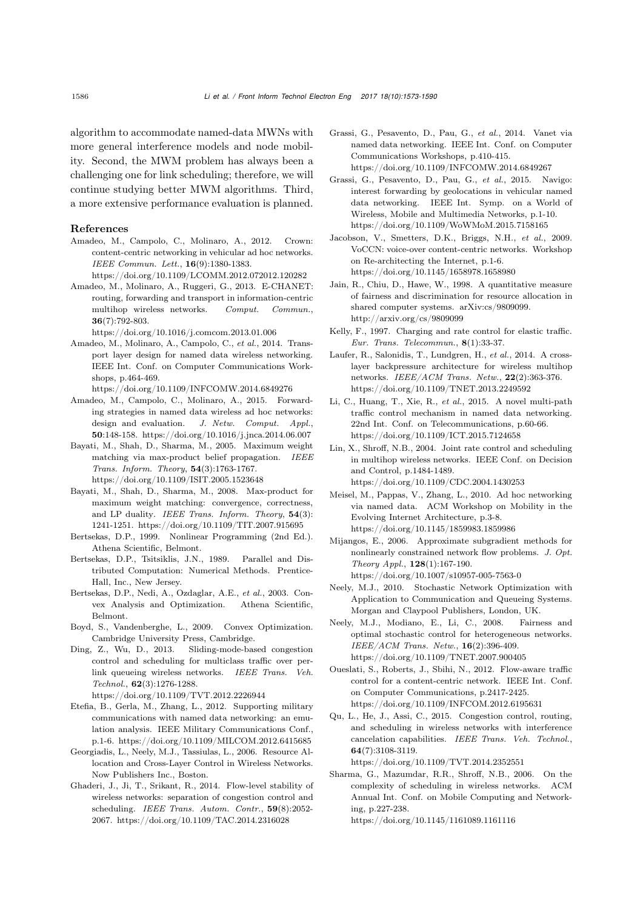algorithm to accommodate named-data MWNs with more general interference models and node mobility. Second, the MWM problem has always been a challenging one for link scheduling; therefore, we will continue studying better MWM algorithms. Third, a more extensive performance evaluation is planned.

#### References

- <span id="page-13-1"></span>Amadeo, M., Campolo, C., Molinaro, A., 2012. Crown: content-centric networking in vehicular ad hoc networks. *IEEE Commun. Lett.*, 16(9):1380-1383.
	- https://doi.org/10.1109/LCOMM.2012.072012.120282
- <span id="page-13-2"></span>Amadeo, M., Molinaro, A., Ruggeri, G., 2013. E-CHANET: routing, forwarding and transport in information-centric multihop wireless networks. *Comput. Commun.*, 36(7):792-803.
	- https://doi.org/10.1016/j.comcom.2013.01.006
- <span id="page-13-7"></span>Amadeo, M., Molinaro, A., Campolo, C., *et al.*, 2014. Transport layer design for named data wireless networking. IEEE Int. Conf. on Computer Communications Workshops, p.464-469.
- <span id="page-13-3"></span>https://doi.org/10.1109/INFCOMW.2014.6849276 Amadeo, M., Campolo, C., Molinaro, A., 2015. Forwarding strategies in named data wireless ad hoc networks: design and evaluation. *J. Netw. Comput. Appl.*, 50:148-158. https://doi.org/10.1016/j.jnca.2014.06.007
- <span id="page-13-22"></span>Bayati, M., Shah, D., Sharma, M., 2005. Maximum weight matching via max-product belief propagation. *IEEE Trans. Inform. Theory*, 54(3):1763-1767. https://doi.org/10.1109/ISIT.2005.1523648
- <span id="page-13-23"></span>Bayati, M., Shah, D., Sharma, M., 2008. Max-product for maximum weight matching: convergence, correctness, and LP duality. *IEEE Trans. Inform. Theory*, 54(3): 1241-1251. https://doi.org/10.1109/TIT.2007.915695
- <span id="page-13-26"></span>Bertsekas, D.P., 1999. Nonlinear Programming (2nd Ed.). Athena Scientific, Belmont.
- <span id="page-13-25"></span>Bertsekas, D.P., Tsitsiklis, J.N., 1989. Parallel and Distributed Computation: Numerical Methods. Prentice-Hall, Inc., New Jersey.
- <span id="page-13-28"></span>Bertsekas, D.P., Nedi, A., Ozdaglar, A.E., *et al.*, 2003. Convex Analysis and Optimization. Athena Scientific, Belmont.
- <span id="page-13-20"></span>Boyd, S., Vandenberghe, L., 2009. Convex Optimization. Cambridge University Press, Cambridge.
- <span id="page-13-10"></span>Ding, Z., Wu, D., 2013. Sliding-mode-based congestion control and scheduling for multiclass traffic over perlink queueing wireless networks. *IEEE Trans. Veh. Technol.*, 62(3):1276-1288.
- https://doi.org/10.1109/TVT.2012.2226944 Etefia, B., Gerla, M., Zhang, L., 2012. Supporting military
- <span id="page-13-4"></span>communications with named data networking: an emulation analysis. IEEE Military Communications Conf., p.1-6. https://doi.org/10.1109/MILCOM.2012.6415685
- <span id="page-13-15"></span>Georgiadis, L., Neely, M.J., Tassiulas, L., 2006. Resource Allocation and Cross-Layer Control in Wireless Networks. Now Publishers Inc., Boston.
- <span id="page-13-11"></span>Ghaderi, J., Ji, T., Srikant, R., 2014. Flow-level stability of wireless networks: separation of congestion control and scheduling. *IEEE Trans. Autom. Contr.*, 59(8):2052- 2067. https://doi.org/10.1109/TAC.2014.2316028
- <span id="page-13-5"></span>Grassi, G., Pesavento, D., Pau, G., *et al.*, 2014. Vanet via named data networking. IEEE Int. Conf. on Computer Communications Workshops, p.410-415. https://doi.org/10.1109/INFCOMW.2014.6849267
- <span id="page-13-6"></span>Grassi, G., Pesavento, D., Pau, G., *et al.*, 2015. Navigo: interest forwarding by geolocations in vehicular named data networking. IEEE Int. Symp. on a World of Wireless, Mobile and Multimedia Networks, p.1-10. https://doi.org/10.1109/WoWMoM.2015.7158165
- <span id="page-13-17"></span>Jacobson, V., Smetters, D.K., Briggs, N.H., *et al.*, 2009. VoCCN: voice-over content-centric networks. Workshop on Re-architecting the Internet, p.1-6. https://doi.org/10.1145/1658978.1658980
- <span id="page-13-27"></span>Jain, R., Chiu, D., Hawe, W., 1998. A quantitative measure of fairness and discrimination for resource allocation in shared computer systems. arXiv:cs/9809099. http://arxiv.org/cs/9809099
- <span id="page-13-18"></span>Kelly, F., 1997. Charging and rate control for elastic traffic. *Eur. Trans. Telecommun.*, 8(1):33-37.
- <span id="page-13-8"></span>Laufer, R., Salonidis, T., Lundgren, H., *et al.*, 2014. A crosslayer backpressure architecture for wireless multihop networks. *IEEE/ACM Trans. Netw.*, 22(2):363-376. https://doi.org/10.1109/TNET.2013.2249592
- <span id="page-13-13"></span>Li, C., Huang, T., Xie, R., *et al.*, 2015. A novel multi-path traffic control mechanism in named data networking. 22nd Int. Conf. on Telecommunications, p.60-66. https://doi.org/10.1109/ICT.2015.7124658
- <span id="page-13-9"></span>Lin, X., Shroff, N.B., 2004. Joint rate control and scheduling in multihop wireless networks. IEEE Conf. on Decision and Control, p.1484-1489. https://doi.org/10.1109/CDC.2004.1430253
- <span id="page-13-0"></span>Meisel, M., Pappas, V., Zhang, L., 2010. Ad hoc networking via named data. ACM Workshop on Mobility in the Evolving Internet Architecture, p.3-8. https://doi.org/10.1145/1859983.1859986
- <span id="page-13-14"></span>Mijangos, E., 2006. Approximate subgradient methods for nonlinearly constrained network flow problems. *J. Opt. Theory Appl.*, 128(1):167-190. https://doi.org/10.1007/s10957-005-7563-0
- <span id="page-13-21"></span>Neely, M.J., 2010. Stochastic Network Optimization with Application to Communication and Queueing Systems. Morgan and Claypool Publishers, London, UK.
- <span id="page-13-16"></span>Neely, M.J., Modiano, E., Li, C., 2008. Fairness and optimal stochastic control for heterogeneous networks. *IEEE/ACM Trans. Netw.*, 16(2):396-409. https://doi.org/10.1109/TNET.2007.900405
- <span id="page-13-19"></span>Oueslati, S., Roberts, J., Sbihi, N., 2012. Flow-aware traffic control for a content-centric network. IEEE Int. Conf. on Computer Communications, p.2417-2425. https://doi.org/10.1109/INFCOM.2012.6195631
- <span id="page-13-12"></span>Qu, L., He, J., Assi, C., 2015. Congestion control, routing, and scheduling in wireless networks with interference cancelation capabilities. *IEEE Trans. Veh. Technol.*, 64(7):3108-3119.

https://doi.org/10.1109/TVT.2014.2352551

<span id="page-13-24"></span>Sharma, G., Mazumdar, R.R., Shroff, N.B., 2006. On the complexity of scheduling in wireless networks. ACM Annual Int. Conf. on Mobile Computing and Networking, p.227-238.

https://doi.org/10.1145/1161089.1161116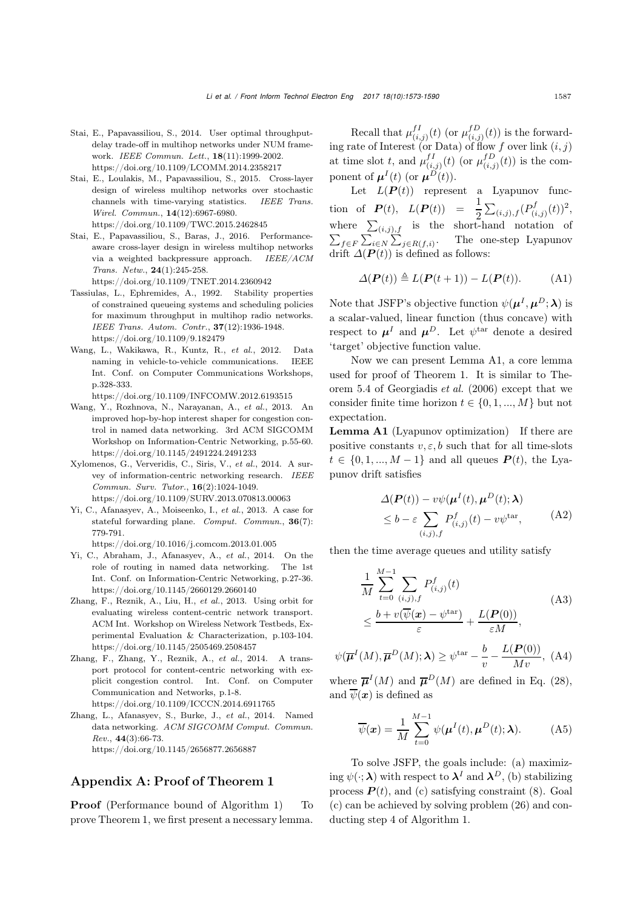- <span id="page-14-6"></span>Stai, E., Papavassiliou, S., 2014. User optimal throughputdelay trade-off in multihop networks under NUM framework. *IEEE Commun. Lett.*, 18(11):1999-2002. https://doi.org/10.1109/LCOMM.2014.2358217
- <span id="page-14-5"></span>Stai, E., Loulakis, M., Papavassiliou, S., 2015. Cross-layer design of wireless multihop networks over stochastic channels with time-varying statistics. *IEEE Trans. Wirel. Commun.*, 14(12):6967-6980. https://doi.org/10.1109/TWC.2015.2462845
- <span id="page-14-9"></span>Stai, E., Papavassiliou, S., Baras, J., 2016. Performanceaware cross-layer design in wireless multihop networks via a weighted backpressure approach. *IEEE/ACM Trans. Netw.*, 24(1):245-258.
	- https://doi.org/10.1109/TNET.2014.2360942
- <span id="page-14-11"></span>Tassiulas, L., Ephremides, A., 1992. Stability properties of constrained queueing systems and scheduling policies for maximum throughput in multihop radio networks. *IEEE Trans. Autom. Contr.*, 37(12):1936-1948. https://doi.org/10.1109/9.182479
- <span id="page-14-2"></span>Wang, L., Wakikawa, R., Kuntz, R., *et al.*, 2012. Data naming in vehicle-to-vehicle communications. IEEE Int. Conf. on Computer Communications Workshops, p.328-333.
- <span id="page-14-8"></span>https://doi.org/10.1109/INFCOMW.2012.6193515 Wang, Y., Rozhnova, N., Narayanan, A., *et al.*, 2013. An
- improved hop-by-hop interest shaper for congestion control in named data networking. 3rd ACM SIGCOMM Workshop on Information-Centric Networking, p.55-60. https://doi.org/10.1145/2491224.2491233
- <span id="page-14-1"></span>Xylomenos, G., Ververidis, C., Siris, V., *et al.*, 2014. A survey of information-centric networking research. *IEEE Commun. Surv. Tutor.*, 16(2):1024-1049. https://doi.org/10.1109/SURV.2013.070813.00063
- <span id="page-14-7"></span>Yi, C., Afanasyev, A., Moiseenko, I., *et al.*, 2013. A case for stateful forwarding plane. *Comput. Commun.*, 36(7): 779-791.
	- https://doi.org/10.1016/j.comcom.2013.01.005
- <span id="page-14-10"></span>Yi, C., Abraham, J., Afanasyev, A., *et al.*, 2014. On the role of routing in named data networking. The 1st Int. Conf. on Information-Centric Networking, p.27-36. https://doi.org/10.1145/2660129.2660140
- <span id="page-14-3"></span>Zhang, F., Reznik, A., Liu, H., *et al.*, 2013. Using orbit for evaluating wireless content-centric network transport. ACM Int. Workshop on Wireless Network Testbeds, Experimental Evaluation & Characterization, p.103-104. https://doi.org/10.1145/2505469.2508457
- <span id="page-14-4"></span>Zhang, F., Zhang, Y., Reznik, A., *et al.*, 2014. A transport protocol for content-centric networking with explicit congestion control. Int. Conf. on Computer Communication and Networks, p.1-8. https://doi.org/10.1109/ICCCN.2014.6911765
- <span id="page-14-0"></span>Zhang, L., Afanasyev, S., Burke, J., *et al.*, 2014. Named data networking. *ACM SIGCOMM Comput. Commun. Rev.*, 44(3):66-73. https://doi.org/10.1145/2656877.2656887

## Appendix A: Proof of Theorem [1](#page-7-3)

**Proof** (Performance bound of Algorithm [1\)](#page-7-0) To prove Theorem [1,](#page-7-3) we first present a necessary lemma.

Recall that  $\mu_{(i,j)}^{fI}(t)$  (or  $\mu_{(i,j)}^{fD}(t)$ ) is the forwarding rate of Interest (or Data) of flow f over link  $(i, j)$ at time slot t, and  $\mu_{(i,j)}^{fI}(t)$  (or  $\mu_{(i,j)}^{fD}(t)$ ) is the component of  $\mu^{I}(t)$  (or  $\mu^{D}(t)$ ).

Let  $L(P(t))$  represent a Lyapunov function of  $P(t)$ ,  $L(P(t)) = \frac{1}{2} \sum_{(i,j),f} (P_{(i,j)}^f(t))^2$ , where  $\sum_{(i,j),f}$  is the short-hand notation of  $\sum_{f \in F} \sum_{i \in N} \sum_{j \in R(f,i)}$ . The one-step Lyapunov drift  $\Delta(\mathbf{P}(t))$  is defined as follows:

<span id="page-14-14"></span>
$$
\Delta(\boldsymbol{P}(t)) \triangleq L(\boldsymbol{P}(t+1)) - L(\boldsymbol{P}(t)). \tag{A1}
$$

Note that JSFP's objective function  $\psi(\mu^I, \mu^D; \lambda)$  is a scalar-valued, linear function (thus concave) with respect to  $\mu^I$  and  $\mu^D$ . Let  $\psi^{\text{tar}}$  denote a desired 'target' objective function value.

Now we can present Lemma [A1,](#page-14-12) a core lemma used for proof of Theorem [1.](#page-7-3) It is similar to Theorem 5.4 of [Georgiadis](#page-13-15) *et al.* [\(2006](#page-13-15)) except that we consider finite time horizon  $t \in \{0, 1, ..., M\}$  but not expectation.

<span id="page-14-12"></span>Lemma A1 (Lyapunov optimization) If there are positive constants  $v, \varepsilon, b$  such that for all time-slots  $t \in \{0, 1, ..., M-1\}$  and all queues  $P(t)$ , the Lyapunov drift satisfies

<span id="page-14-13"></span>
$$
\Delta(\boldsymbol{P}(t)) - v\psi(\boldsymbol{\mu}^{I}(t), \boldsymbol{\mu}^{D}(t); \boldsymbol{\lambda})
$$
  
\n
$$
\leq b - \varepsilon \sum_{(i,j),f} P_{(i,j)}^{f}(t) - v\psi^{\text{tar}},
$$
 (A2)

then the time average queues and utility satisfy

$$
\frac{1}{M} \sum_{t=0}^{M-1} \sum_{(i,j),f} P_{(i,j)}^f(t)
$$
\n
$$
\leq \frac{b + v(\overline{\psi}(\mathbf{x}) - \psi^{\text{tar}})}{\varepsilon} + \frac{L(\mathbf{P}(0))}{\varepsilon N},
$$
\n(A3)

$$
\psi(\overline{\mu}^{I}(M), \overline{\mu}^{D}(M); \lambda) \ge \psi^{\text{tar}} - \frac{b}{v} - \frac{L(\mathbf{P}(0))}{Mv}, \text{ (A4)}
$$

where  $\overline{\mathbf{u}}^I(M)$  and  $\overline{\mathbf{u}}^D(M)$  are defined in Eq. [\(28\)](#page-8-5), and  $\overline{\psi}(\boldsymbol{x})$  is defined as

$$
\overline{\psi}(\boldsymbol{x}) = \frac{1}{M} \sum_{t=0}^{M-1} \psi(\boldsymbol{\mu}^{I}(t), \boldsymbol{\mu}^{D}(t); \boldsymbol{\lambda}).
$$
 (A5)

To solve JSFP, the goals include: (a) maximizing  $\psi(\cdot; \lambda)$  with respect to  $\lambda^I$  and  $\lambda^D$ , (b) stabilizing process  $P(t)$ , and (c) satisfying constraint [\(8\)](#page-5-5). Goal (c) can be achieved by solving problem [\(26\)](#page-7-4) and conducting step 4 of Algorithm [1.](#page-7-0)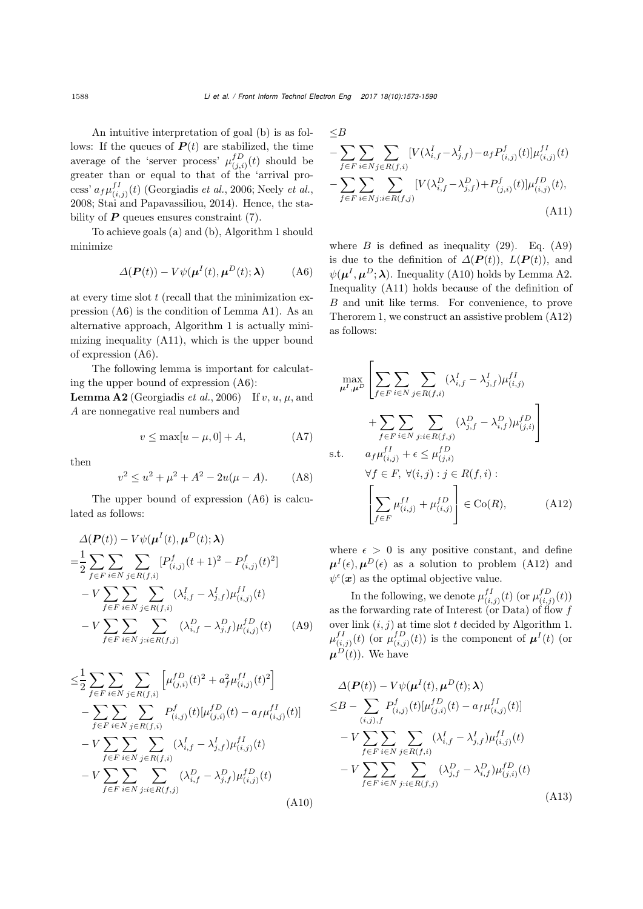An intuitive interpretation of goal (b) is as follows: If the queues of  $P(t)$  are stabilized, the time average of the 'server process'  $\mu_{(j,i)}^{fD}(t)$  should be greater than or equal to that of the 'arrival process'  $a_f \mu_{(i,j)}^{fI}(t)$  [\(Georgiadis](#page-13-15) *et al.*, [2006](#page-13-15); [Neely](#page-13-16) *et al.*, [2008;](#page-13-16) [Stai and Papavassiliou, 2014\)](#page-14-6). Hence, the stability of  $P$  queues ensures constraint  $(7)$ .

To achieve goals (a) and (b), Algorithm [1](#page-7-0) should minimize

<span id="page-15-0"></span>
$$
\Delta(\boldsymbol{P}(t)) - V\psi(\boldsymbol{\mu}^{I}(t), \boldsymbol{\mu}^{D}(t); \boldsymbol{\lambda}) \tag{A6}
$$

at every time slot  $t$  (recall that the minimization expression [\(A6\)](#page-15-0) is the condition of Lemma [A1\)](#page-14-12). As an alternative approach, Algorithm [1](#page-7-0) is actually minimizing inequality [\(A11\)](#page-15-1), which is the upper bound of expression [\(A6\)](#page-15-0).

The following lemma is important for calculating the upper bound of expression [\(A6\)](#page-15-0):

<span id="page-15-4"></span>**Lemma A2** [\(Georgiadis](#page-13-15) *et al.*, [2006\)](#page-13-15) If v, u,  $\mu$ , and A are nonnegative real numbers and

$$
v \le \max[u - \mu, 0] + A,\tag{A7}
$$

then

$$
v^2 \le u^2 + \mu^2 + A^2 - 2u(\mu - A). \tag{A8}
$$

The upper bound of expression [\(A6\)](#page-15-0) is calculated as follows:

$$
\Delta(\boldsymbol{P}(t)) - V\psi(\boldsymbol{\mu}^{I}(t), \boldsymbol{\mu}^{D}(t); \lambda)
$$
\n
$$
= \frac{1}{2} \sum_{f \in F} \sum_{i \in N} \sum_{j \in R(f,i)} [P_{(i,j)}^{f}(t+1)^{2} - P_{(i,j)}^{f}(t)^{2}]
$$
\n
$$
- V \sum_{f \in F} \sum_{i \in N} \sum_{j \in R(f,i)} (\lambda_{i,f}^{I} - \lambda_{j,f}^{I}) \mu_{(i,j)}^{fI}(t)
$$
\n
$$
- V \sum_{f \in F} \sum_{i \in N} \sum_{j:i \in R(f,j)} (\lambda_{i,f}^{D} - \lambda_{j,f}^{D}) \mu_{(i,j)}^{fD}(t) \qquad (A9)
$$

$$
\leq \frac{1}{2} \sum_{f \in F} \sum_{i \in N} \sum_{j \in R(f,i)} \left[ \mu_{(j,i)}^{fD}(t)^{2} + a_{f}^{2} \mu_{(i,j)}^{fI}(t)^{2} \right] \n- \sum_{f \in F} \sum_{i \in N} \sum_{j \in R(f,i)} P_{(i,j)}^{f}(t) [\mu_{(j,i)}^{fD}(t) - a_{f} \mu_{(i,j)}^{fI}(t)] \n- V \sum_{f \in F} \sum_{i \in N} \sum_{j \in R(f,i)} (\lambda_{i,f}^{I} - \lambda_{j,f}^{I}) \mu_{(i,j)}^{fI}(t) \n- V \sum_{f \in F} \sum_{i \in N} \sum_{j:i \in R(f,j)} (\lambda_{i,f}^{D} - \lambda_{j,f}^{D}) \mu_{(i,j)}^{fD}(t)
$$
\n(A10)

$$
\leq B
$$
\n
$$
- \sum_{f \in F} \sum_{i \in N} \sum_{j \in R(f,i)} [V(\lambda_{i,f}^I - \lambda_{j,f}^I) - a_f P_{(i,j)}^f(t)] \mu_{(i,j)}^{fI}(t)
$$
\n
$$
- \sum_{f \in F} \sum_{i \in N} \sum_{j:i \in R(f,j)} [V(\lambda_{i,f}^D - \lambda_{j,f}^D) + P_{(j,i)}^f(t)] \mu_{(i,j)}^{fD}(t),
$$
\n(A11)

<span id="page-15-1"></span>where  $B$  is defined as inequality [\(29\)](#page-8-6). Eq. [\(A9\)](#page-15-2) is due to the definition of  $\Delta(\mathbf{P}(t))$ ,  $L(\mathbf{P}(t))$ , and  $\psi(\mu^I, \mu^D; \lambda)$ . Inequality [\(A10\)](#page-15-3) holds by Lemma [A2.](#page-15-4) Inequality [\(A11\)](#page-15-1) holds because of the definition of B and unit like terms. For convenience, to prove Therorem [1,](#page-7-3) we construct an assistive problem [\(A12\)](#page-15-5) as follows:

$$
\max_{\mu^{I}, \mu^{D}} \left[ \sum_{f \in F} \sum_{i \in N} \sum_{j \in R(f,i)} (\lambda_{i,f}^{I} - \lambda_{j,f}^{I}) \mu_{(i,j)}^{fI} + \sum_{f \in F} \sum_{i \in N} \sum_{j:i \in R(f,j)} (\lambda_{j,f}^{D} - \lambda_{i,f}^{D}) \mu_{(j,i)}^{fD} \right]
$$
\ns.t. 
$$
a_{f} \mu_{(i,j)}^{fI} + \epsilon \leq \mu_{(j,i)}^{fD}
$$
\n
$$
\forall f \in F, \forall (i,j) : j \in R(f,i): \left[ \sum_{f \in F} \mu_{(i,j)}^{fI} + \mu_{(i,j)}^{fD} \right] \in \text{Co}(R), \quad (A12)
$$

<span id="page-15-5"></span>where  $\epsilon > 0$  is any positive constant, and define  $\mu^{I}(\epsilon)$ ,  $\mu^{D}(\epsilon)$  as a solution to problem [\(A12\)](#page-15-5) and  $\psi^{\epsilon}(\boldsymbol{x})$  as the optimal objective value.

<span id="page-15-2"></span>In the following, we denote  $\mu_{(i,j)}^{fI}(t)$  (or  $\mu_{(i,j)}^{fD}(t)$ ) as the forwarding rate of Interest (or Data) of flow f over link  $(i, j)$  at time slot t decided by Algorithm [1.](#page-7-0)  $\mu_{(i,j)}^{f} (t)$  (or  $\mu_{(i,j)}^{f} (t)$ ) is the component of  $\mu^{I} (t)$  (or  $\mu^{D}(t)$ ). We have

<span id="page-15-6"></span><span id="page-15-3"></span>
$$
\Delta(\mathbf{P}(t)) - V\psi(\boldsymbol{\mu}^{I}(t), \boldsymbol{\mu}^{D}(t); \boldsymbol{\lambda})
$$
  
\n
$$
\leq B - \sum_{(i,j),f} P_{(i,j)}^{f}(t) [\mu_{(j,i)}^{f}(t) - a_{f} \mu_{(i,j)}^{f}(t)]
$$
  
\n
$$
- V \sum_{f \in F} \sum_{i \in N} \sum_{j \in R(f,i)} (\lambda_{i,f}^{I} - \lambda_{j,f}^{I}) \mu_{(i,j)}^{f}(t)
$$
  
\n
$$
- V \sum_{f \in F} \sum_{i \in N} \sum_{j:i \in R(f,j)} (\lambda_{j,f}^{D} - \lambda_{i,f}^{D}) \mu_{(j,i)}^{f}(t)
$$
\n(A13)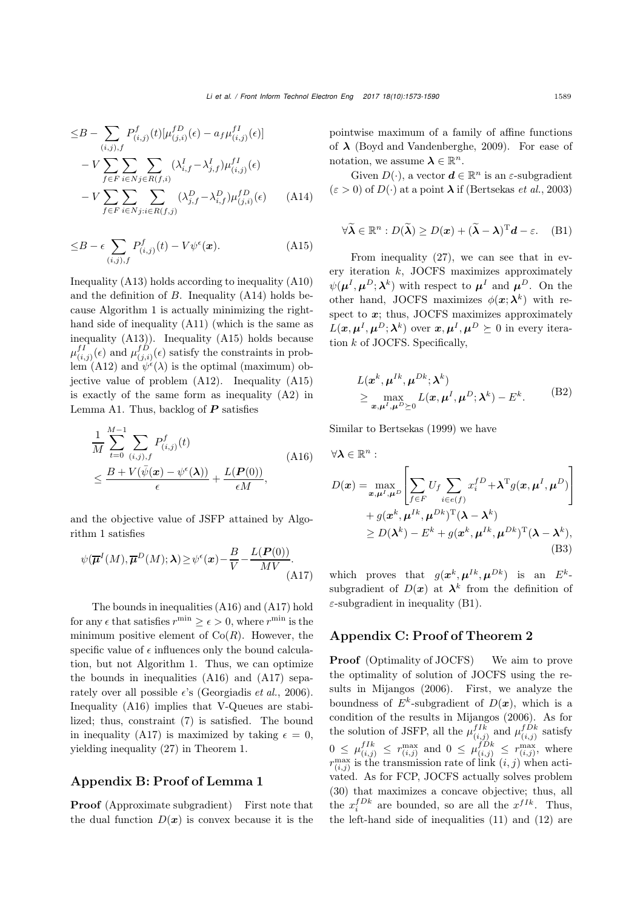$$
\leq B - \sum_{(i,j),f} P_{(i,j)}^f(t) [\mu_{(j,i)}^{f}(\epsilon) - a_f \mu_{(i,j)}^{f}(\epsilon)] \n- V \sum_{f \in F} \sum_{i \in N} \sum_{j \in R(f,i)} (\lambda_{i,f}^I - \lambda_{j,f}^I) \mu_{(i,j)}^{f}(\epsilon) \n- V \sum_{f \in F} \sum_{i \in N} \sum_{j:i \in R(f,j)} (\lambda_{j,f}^D - \lambda_{i,f}^D) \mu_{(j,i)}^{f}(\epsilon) \qquad (A14)
$$

$$
\leq B - \epsilon \sum_{(i,j),f} P^f_{(i,j)}(t) - V\psi^{\epsilon}(\boldsymbol{x}). \tag{A15}
$$

Inequality [\(A13\)](#page-15-6) holds according to inequality [\(A10\)](#page-15-3) and the definition of  $B$ . Inequality  $(A14)$  holds because Algorithm [1](#page-7-0) is actually minimizing the righthand side of inequality [\(A11\)](#page-15-1) (which is the same as inequality [\(A13\)](#page-15-6)). Inequality [\(A15\)](#page-16-1) holds because  $\mu_{(i,j)}^{f}(\epsilon)$  and  $\mu_{(j,i)}^{f}(\epsilon)$  satisfy the constraints in prob- $\lim_{\delta \to 0} (A12)$  $\lim_{\delta \to 0} (A12)$  and  $\psi^{\epsilon}(\lambda)$  is the optimal (maximum) objective value of problem [\(A12\)](#page-15-5). Inequality [\(A15\)](#page-16-1) is exactly of the same form as inequality [\(A2\)](#page-14-13) in Lemma [A1.](#page-14-12) Thus, backlog of *P* satisfies

<span id="page-16-2"></span>
$$
\frac{1}{M} \sum_{t=0}^{M-1} \sum_{(i,j),f} P_{(i,j)}^f(t)
$$
\n
$$
\leq \frac{B + V(\bar{\psi}(\boldsymbol{x}) - \psi^{\epsilon}(\boldsymbol{\lambda}))}{\epsilon} + \frac{L(\boldsymbol{P}(0))}{\epsilon M},
$$
\n(A16)

and the objective value of JSFP attained by Algorithm [1](#page-7-0) satisfies

<span id="page-16-3"></span>
$$
\psi(\overline{\boldsymbol{\mu}}^{I}(M), \overline{\boldsymbol{\mu}}^{D}(M); \lambda) \geq \psi^{\epsilon}(\boldsymbol{x}) - \frac{B}{V} - \frac{L(\boldsymbol{P}(0))}{MV}.
$$
\n(A17)

The bounds in inequalities [\(A16\)](#page-16-2) and [\(A17\)](#page-16-3) hold for any  $\epsilon$  that satisfies  $r^{\min} \geq \epsilon > 0$ , where  $r^{\min}$  is the minimum positive element of  $Co(R)$ . However, the specific value of  $\epsilon$  influences only the bound calculation, but not Algorithm [1.](#page-7-0) Thus, we can optimize the bounds in inequalities [\(A16\)](#page-16-2) and [\(A17\)](#page-16-3) separately over all possible  $\epsilon$ 's [\(Georgiadis](#page-13-15) *et al.*, [2006\)](#page-13-15). Inequality [\(A16\)](#page-16-2) implies that V-Queues are stabilized; thus, constraint [\(7\)](#page-5-4) is satisfied. The bound in inequality [\(A17\)](#page-16-3) is maximized by taking  $\epsilon = 0$ , yielding inequality [\(27\)](#page-7-5) in Theorem [1.](#page-7-3)

## Appendix B: Proof of Lemma [1](#page-8-4)

Proof (Approximate subgradient) First note that the dual function  $D(x)$  is convex because it is the pointwise maximum of a family of affine functions of *λ* [\(Boyd and Vandenberghe, 2009\)](#page-13-20). For ease of notation, we assume  $\lambda \in \mathbb{R}^n$ .

<span id="page-16-0"></span>Given  $D(\cdot)$ , a vector  $\boldsymbol{d} \in \mathbb{R}^n$  is an  $\varepsilon$ -subgradient  $(\varepsilon > 0)$  of  $D(\cdot)$  at a point  $\lambda$  if [\(Bertsekas](#page-13-28) *et al.*, [2003](#page-13-28))

$$
\forall \widetilde{\boldsymbol{\lambda}} \in \mathbb{R}^n : D(\widetilde{\boldsymbol{\lambda}}) \ge D(\boldsymbol{x}) + (\widetilde{\boldsymbol{\lambda}} - \boldsymbol{\lambda})^{\mathrm{T}} \boldsymbol{d} - \varepsilon. \quad (B1)
$$

<span id="page-16-1"></span>From inequality [\(27\)](#page-7-5), we can see that in every iteration  $k$ , JOCFS maximizes approximately  $\psi(\mu^I, \mu^D; \lambda^k)$  with respect to  $\mu^I$  and  $\mu^D$ . On the other hand, JOCFS maximizes  $\phi(\mathbf{x}; \lambda^k)$  with respect to x; thus, JOCFS maximizes approximately  $L(\boldsymbol{x}, \boldsymbol{\mu}^I, \boldsymbol{\mu}^D; \boldsymbol{\lambda}^k)$  over  $\boldsymbol{x}, \boldsymbol{\mu}^I, \boldsymbol{\mu}^D \succeq 0$  in every iteration  $k$  of JOCFS. Specifically,

$$
L(\boldsymbol{x}^{k}, \boldsymbol{\mu}^{Ik}, \boldsymbol{\mu}^{Dk}; \boldsymbol{\lambda}^{k})
$$
  
\n
$$
\geq \max_{\boldsymbol{x}, \boldsymbol{\mu}^{I}, \boldsymbol{\mu}^{D} \succeq 0} L(\boldsymbol{x}, \boldsymbol{\mu}^{I}, \boldsymbol{\mu}^{D}; \boldsymbol{\lambda}^{k}) - E^{k}.
$$
 (B2)

Similar to [Bertsekas](#page-13-26) [\(1999\)](#page-13-26) we have

$$
\forall \lambda \in \mathbb{R}^{n} : \nD(\boldsymbol{x}) = \max_{\boldsymbol{x}, \boldsymbol{\mu}^{I}, \boldsymbol{\mu}^{D}} \left[ \sum_{f \in F} U_{f} \sum_{i \in e(f)} x_{i}^{fD} + \lambda^{T} g(\boldsymbol{x}, \boldsymbol{\mu}^{I}, \boldsymbol{\mu}^{D}) \right] \n+ g(\boldsymbol{x}^{k}, \boldsymbol{\mu}^{Ik}, \boldsymbol{\mu}^{Dk})^{T} (\boldsymbol{\lambda} - \boldsymbol{\lambda}^{k}) \n\ge D(\boldsymbol{\lambda}^{k}) - E^{k} + g(\boldsymbol{x}^{k}, \boldsymbol{\mu}^{Ik}, \boldsymbol{\mu}^{Dk})^{T} (\boldsymbol{\lambda} - \boldsymbol{\lambda}^{k}),
$$
\n(B3)

which proves that  $g(x^k, \mu^{Ik}, \mu^{Dk})$  is an  $E^k$ subgradient of  $D(x)$  at  $\lambda^k$  from the definition of  $\varepsilon$ -subgradient in inequality [\(B1\)](#page-14-14).

#### Appendix C: Proof of Theorem [2](#page-9-2)

**Proof** (Optimality of JOCFS) We aim to prove the optimality of solution of JOCFS using the results in [Mijangos](#page-13-14) [\(2006](#page-13-14)). First, we analyze the boundness of  $E^k$ -subgradient of  $D(\boldsymbol{x})$ , which is a condition of the results in [Mijangos](#page-13-14) [\(2006\)](#page-13-14). As for the solution of JSFP, all the  $\mu_{(i,j)}^{fIk}$  and  $\mu_{(i,j)}^{fDk}$  satisfy  $0 \leq \mu_{(i,j)}^{fIk} \leq r_{(i,j)}^{\max}$  and  $0 \leq \mu_{(i,j)}^{fDk} \leq r_{(i,j)}^{\max}$ , where  $r_{(i,j)}^{\max}$  is the transmission rate of link  $(i,j)$  when activated. As for FCP, JOCFS actually solves problem [\(30\)](#page-8-1) that maximizes a concave objective; thus, all the  $x_i^{fDk}$  are bounded, so are all the  $x^{fIk}$ . Thus, the left-hand side of inequalities [\(11\)](#page-6-0) and [\(12\)](#page-6-1) are